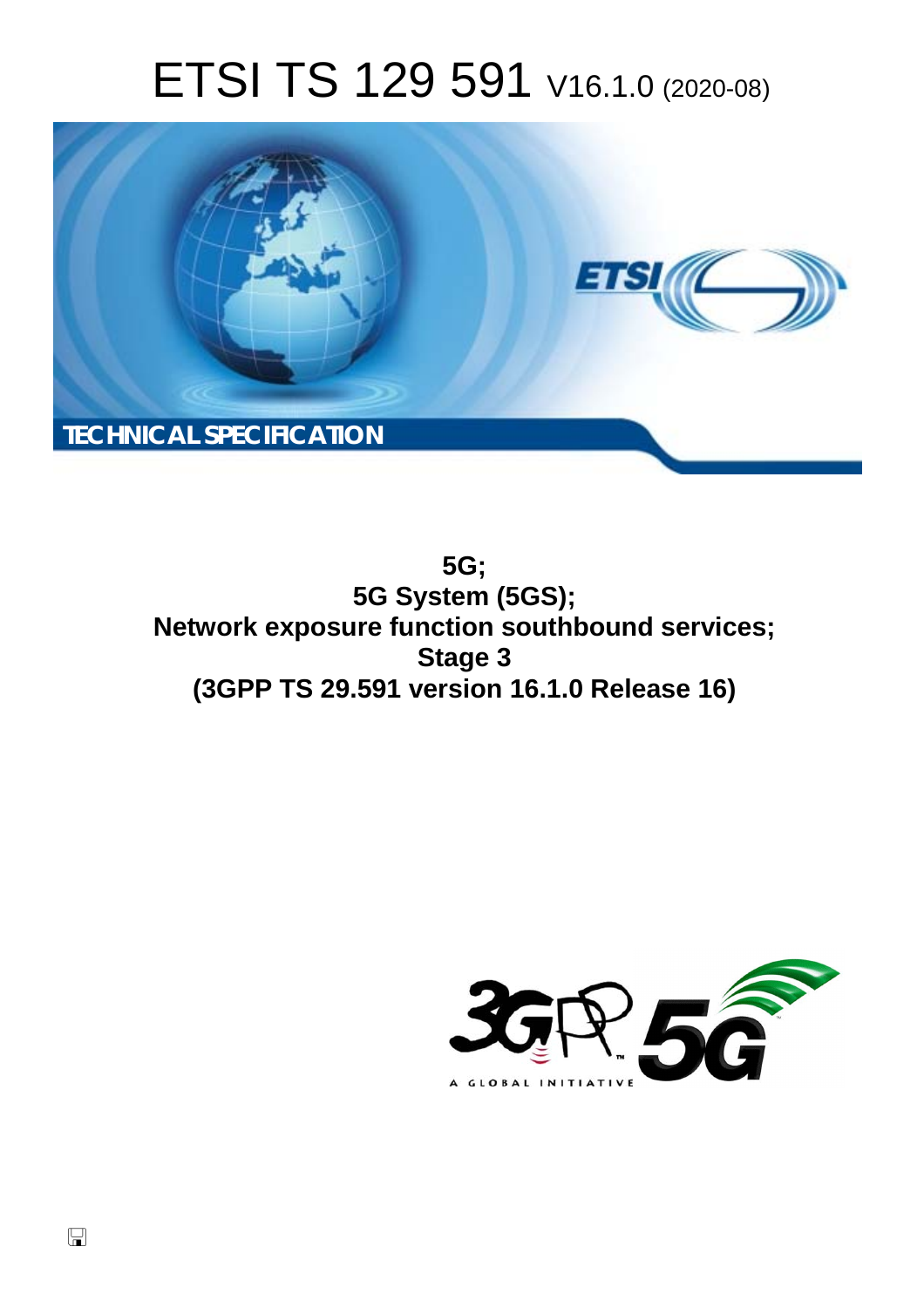# ETSI TS 129 591 V16.1.0 (2020-08)



**5G; 5G System (5GS); Network exposure function southbound services; Stage 3 (3GPP TS 29.591 version 16.1.0 Release 16)** 

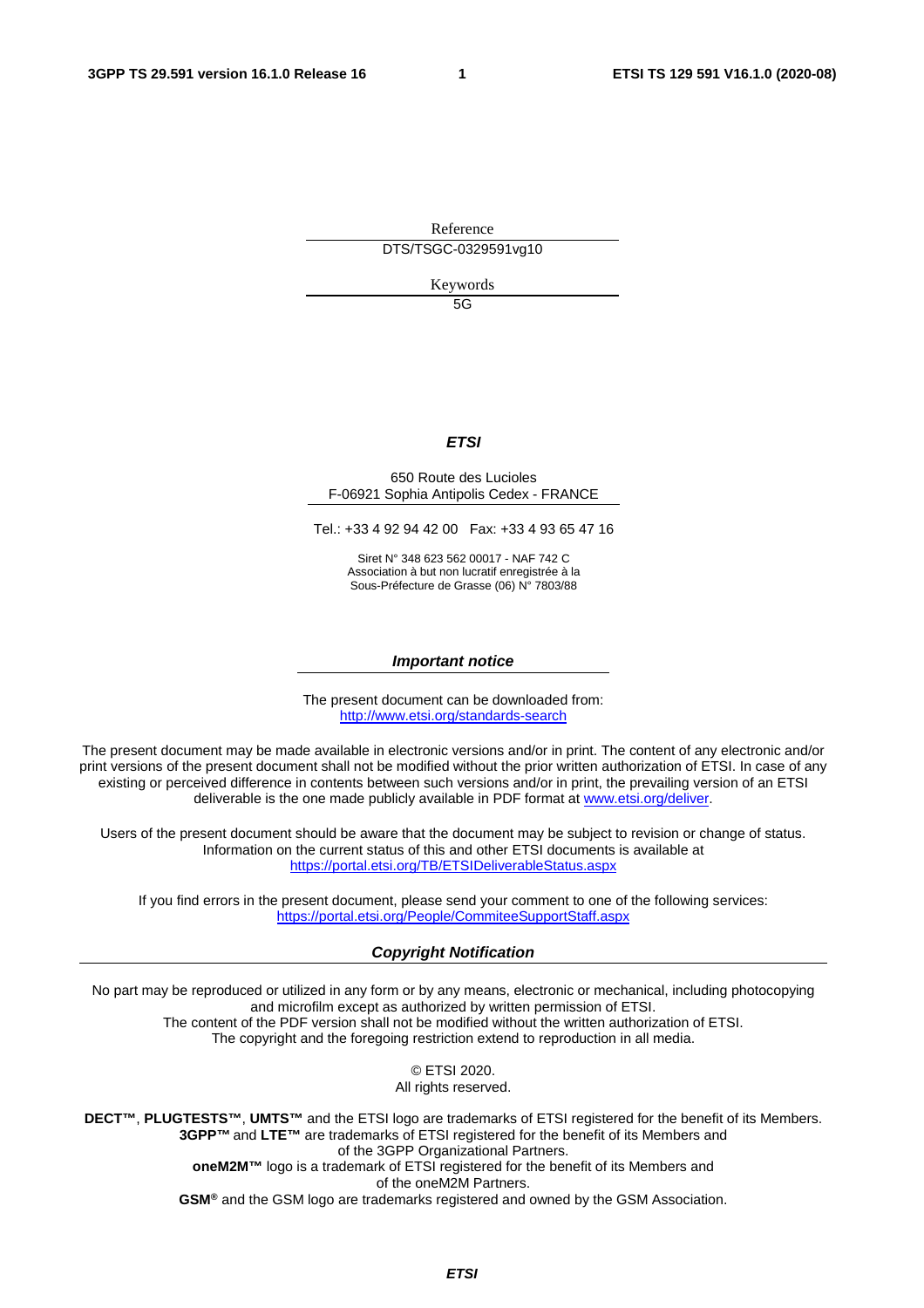Reference DTS/TSGC-0329591vg10

Keywords

5G

#### *ETSI*

#### 650 Route des Lucioles F-06921 Sophia Antipolis Cedex - FRANCE

Tel.: +33 4 92 94 42 00 Fax: +33 4 93 65 47 16

Siret N° 348 623 562 00017 - NAF 742 C Association à but non lucratif enregistrée à la Sous-Préfecture de Grasse (06) N° 7803/88

#### *Important notice*

The present document can be downloaded from: <http://www.etsi.org/standards-search>

The present document may be made available in electronic versions and/or in print. The content of any electronic and/or print versions of the present document shall not be modified without the prior written authorization of ETSI. In case of any existing or perceived difference in contents between such versions and/or in print, the prevailing version of an ETSI deliverable is the one made publicly available in PDF format at [www.etsi.org/deliver.](http://www.etsi.org/deliver)

Users of the present document should be aware that the document may be subject to revision or change of status. Information on the current status of this and other ETSI documents is available at <https://portal.etsi.org/TB/ETSIDeliverableStatus.aspx>

If you find errors in the present document, please send your comment to one of the following services: <https://portal.etsi.org/People/CommiteeSupportStaff.aspx>

#### *Copyright Notification*

No part may be reproduced or utilized in any form or by any means, electronic or mechanical, including photocopying and microfilm except as authorized by written permission of ETSI. The content of the PDF version shall not be modified without the written authorization of ETSI. The copyright and the foregoing restriction extend to reproduction in all media.

> © ETSI 2020. All rights reserved.

**DECT™**, **PLUGTESTS™**, **UMTS™** and the ETSI logo are trademarks of ETSI registered for the benefit of its Members. **3GPP™** and **LTE™** are trademarks of ETSI registered for the benefit of its Members and of the 3GPP Organizational Partners. **oneM2M™** logo is a trademark of ETSI registered for the benefit of its Members and of the oneM2M Partners. **GSM®** and the GSM logo are trademarks registered and owned by the GSM Association.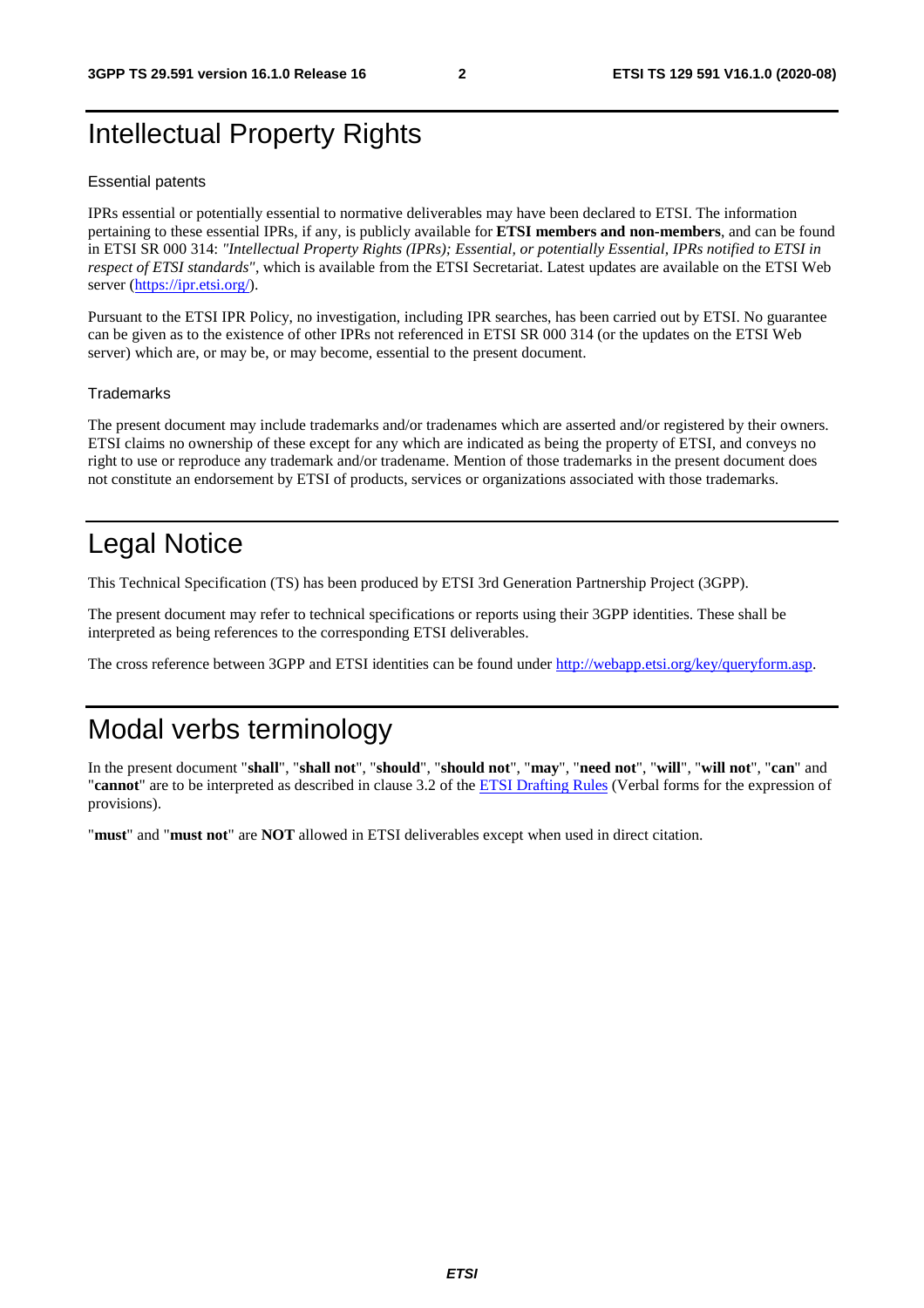# Intellectual Property Rights

#### Essential patents

IPRs essential or potentially essential to normative deliverables may have been declared to ETSI. The information pertaining to these essential IPRs, if any, is publicly available for **ETSI members and non-members**, and can be found in ETSI SR 000 314: *"Intellectual Property Rights (IPRs); Essential, or potentially Essential, IPRs notified to ETSI in respect of ETSI standards"*, which is available from the ETSI Secretariat. Latest updates are available on the ETSI Web server [\(https://ipr.etsi.org/](https://ipr.etsi.org/)).

Pursuant to the ETSI IPR Policy, no investigation, including IPR searches, has been carried out by ETSI. No guarantee can be given as to the existence of other IPRs not referenced in ETSI SR 000 314 (or the updates on the ETSI Web server) which are, or may be, or may become, essential to the present document.

#### **Trademarks**

The present document may include trademarks and/or tradenames which are asserted and/or registered by their owners. ETSI claims no ownership of these except for any which are indicated as being the property of ETSI, and conveys no right to use or reproduce any trademark and/or tradename. Mention of those trademarks in the present document does not constitute an endorsement by ETSI of products, services or organizations associated with those trademarks.

# Legal Notice

This Technical Specification (TS) has been produced by ETSI 3rd Generation Partnership Project (3GPP).

The present document may refer to technical specifications or reports using their 3GPP identities. These shall be interpreted as being references to the corresponding ETSI deliverables.

The cross reference between 3GPP and ETSI identities can be found under<http://webapp.etsi.org/key/queryform.asp>.

# Modal verbs terminology

In the present document "**shall**", "**shall not**", "**should**", "**should not**", "**may**", "**need not**", "**will**", "**will not**", "**can**" and "**cannot**" are to be interpreted as described in clause 3.2 of the [ETSI Drafting Rules](https://portal.etsi.org/Services/editHelp!/Howtostart/ETSIDraftingRules.aspx) (Verbal forms for the expression of provisions).

"**must**" and "**must not**" are **NOT** allowed in ETSI deliverables except when used in direct citation.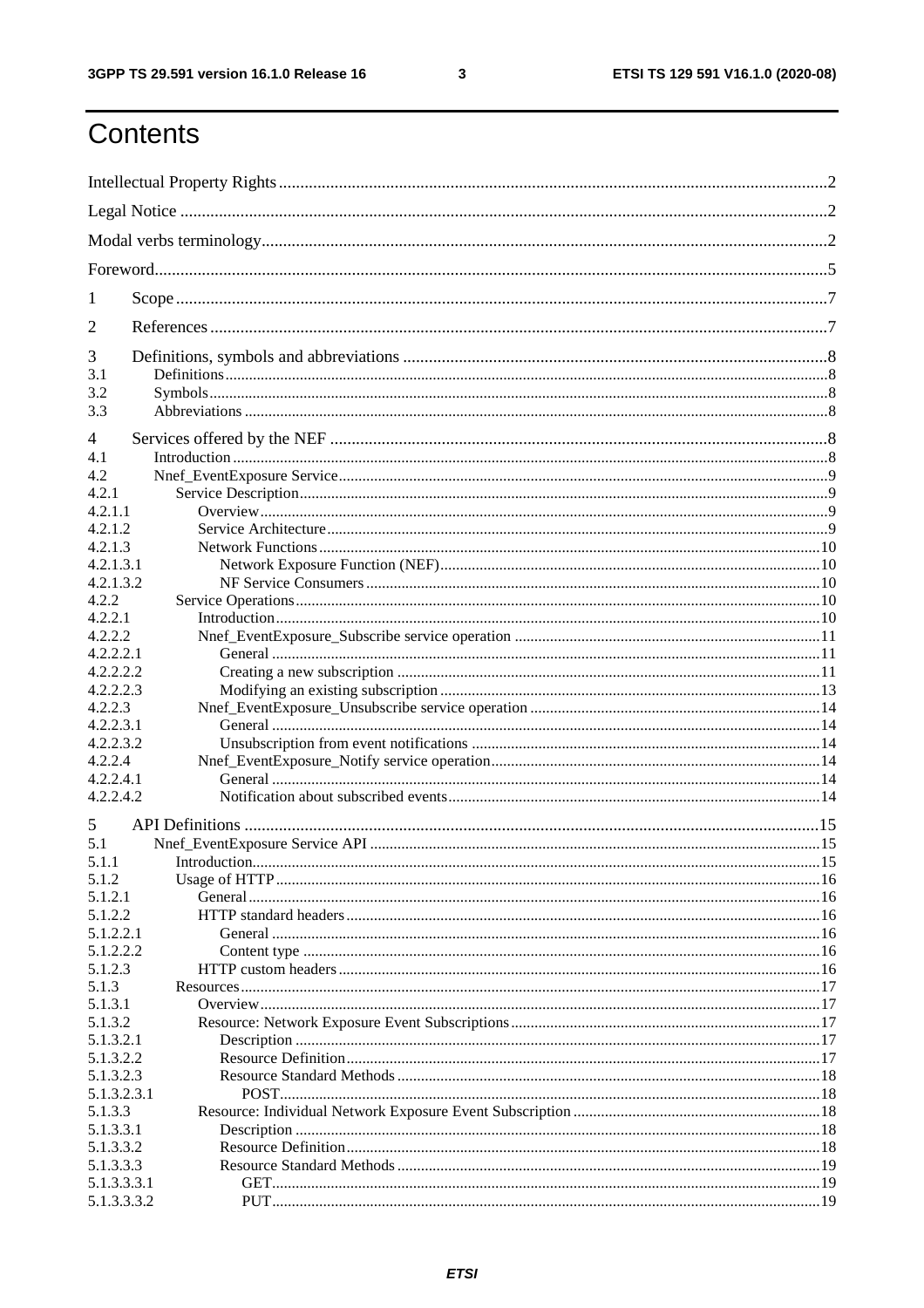$\mathbf{3}$ 

# Contents

| 1                          |  |
|----------------------------|--|
| $\overline{2}$             |  |
| 3                          |  |
| 3.1<br>3.2                 |  |
| 3.3                        |  |
| 4                          |  |
| 4.1                        |  |
| 4.2                        |  |
| 4.2.1                      |  |
| 4.2.1.1                    |  |
| 4.2.1.2                    |  |
| 4.2.1.3                    |  |
| 4.2.1.3.1<br>4.2.1.3.2     |  |
| 4.2.2                      |  |
| 4.2.2.1                    |  |
| 4.2.2.2                    |  |
| 4.2.2.2.1                  |  |
| 4.2.2.2.2                  |  |
| 4.2.2.2.3                  |  |
| 4.2.2.3                    |  |
| 4.2.2.3.1                  |  |
| 4.2.2.3.2                  |  |
| 4.2.2.4                    |  |
| 4.2.2.4.1                  |  |
| 4.2.2.4.2                  |  |
| 5                          |  |
| 5.1                        |  |
| 5.1.1                      |  |
| 5.1.2                      |  |
| 5.1.2.1<br>5.1.2.2         |  |
| 5.1.2.2.1                  |  |
| 5.1.2.2.2                  |  |
| 5.1.2.3                    |  |
| 5.1.3                      |  |
| 5.1.3.1                    |  |
| 5.1.3.2                    |  |
| 5.1.3.2.1                  |  |
| 5.1.3.2.2                  |  |
| 5.1.3.2.3                  |  |
| 5.1.3.2.3.1                |  |
| 5.1.3.3                    |  |
| 5.1.3.3.1                  |  |
| 5.1.3.3.2                  |  |
| 5.1.3.3.3                  |  |
| 5.1.3.3.3.1<br>5.1.3.3.3.2 |  |
|                            |  |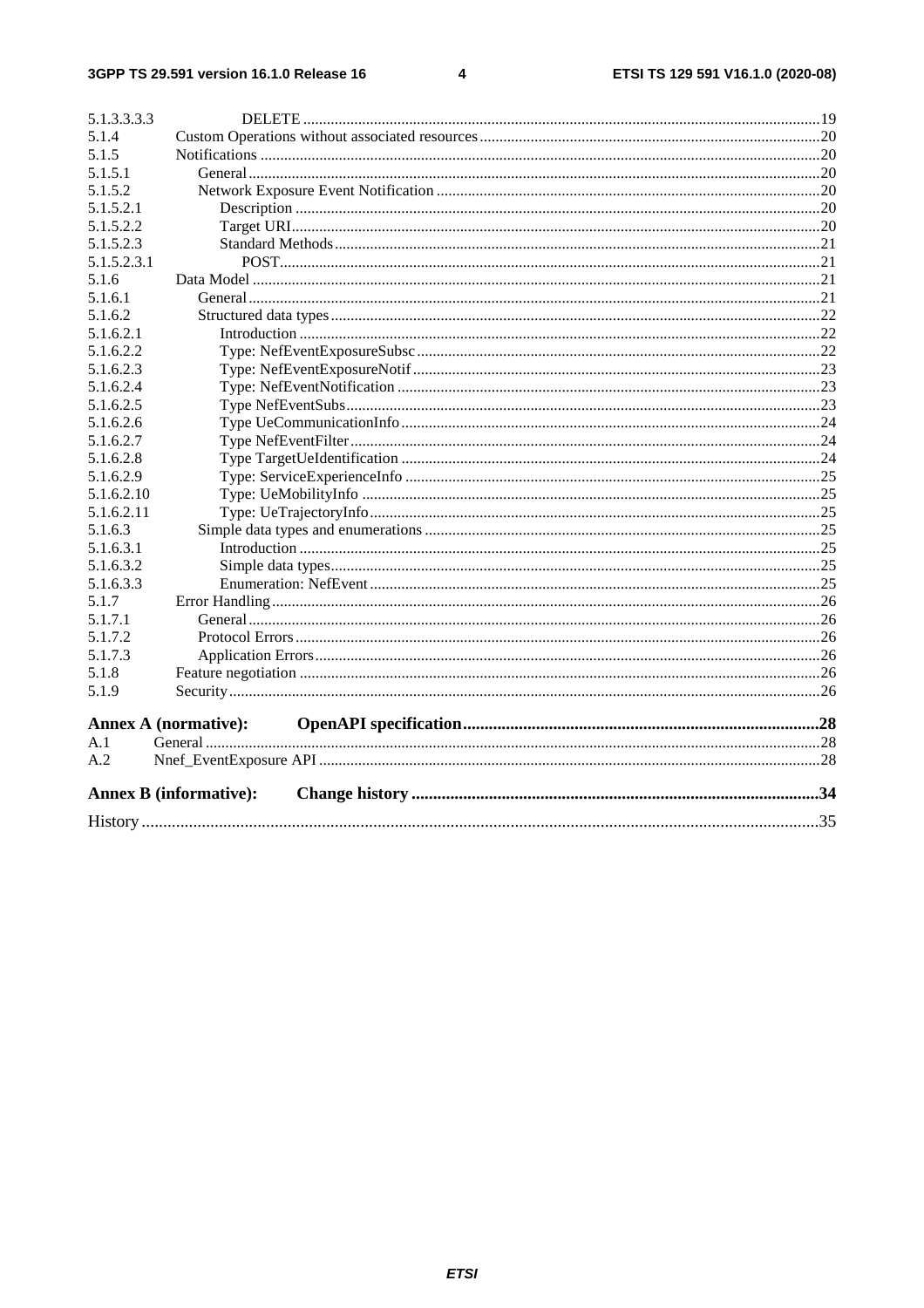#### $\overline{\mathbf{4}}$

|             | <b>Annex B</b> (informative): |  |
|-------------|-------------------------------|--|
| A.2         |                               |  |
| A.1         |                               |  |
|             | Annex A (normative):          |  |
| 5.1.9       |                               |  |
| 5.1.8       |                               |  |
| 5.1.7.3     |                               |  |
| 5.1.7.2     |                               |  |
| 5.1.7.1     |                               |  |
| 5.1.7       |                               |  |
| 5.1.6.3.3   |                               |  |
| 5.1.6.3.2   |                               |  |
| 5.1.6.3.1   |                               |  |
| 5.1.6.3     |                               |  |
| 5.1.6.2.11  |                               |  |
| 5.1.6.2.10  |                               |  |
| 5.1.6.2.9   |                               |  |
| 5.1.6.2.8   |                               |  |
| 5.1.6.2.7   |                               |  |
| 5.1.6.2.6   |                               |  |
| 5.1.6.2.5   |                               |  |
| 5.1.6.2.4   |                               |  |
| 5.1.6.2.3   |                               |  |
| 5.1.6.2.2   |                               |  |
| 5.1.6.2.1   |                               |  |
| 5.1.6.2     |                               |  |
| 5.1.6.1     |                               |  |
| 5.1.6       |                               |  |
| 5.1.5.2.3.1 |                               |  |
| 5.1.5.2.3   |                               |  |
| 5.1.5.2.2   |                               |  |
| 5.1.5.2.1   |                               |  |
| 5.1.5.2     |                               |  |
| 5.1.5.1     |                               |  |
| 5.1.5       |                               |  |
| 5.1.4       |                               |  |
| 5.1.3.3.3.3 |                               |  |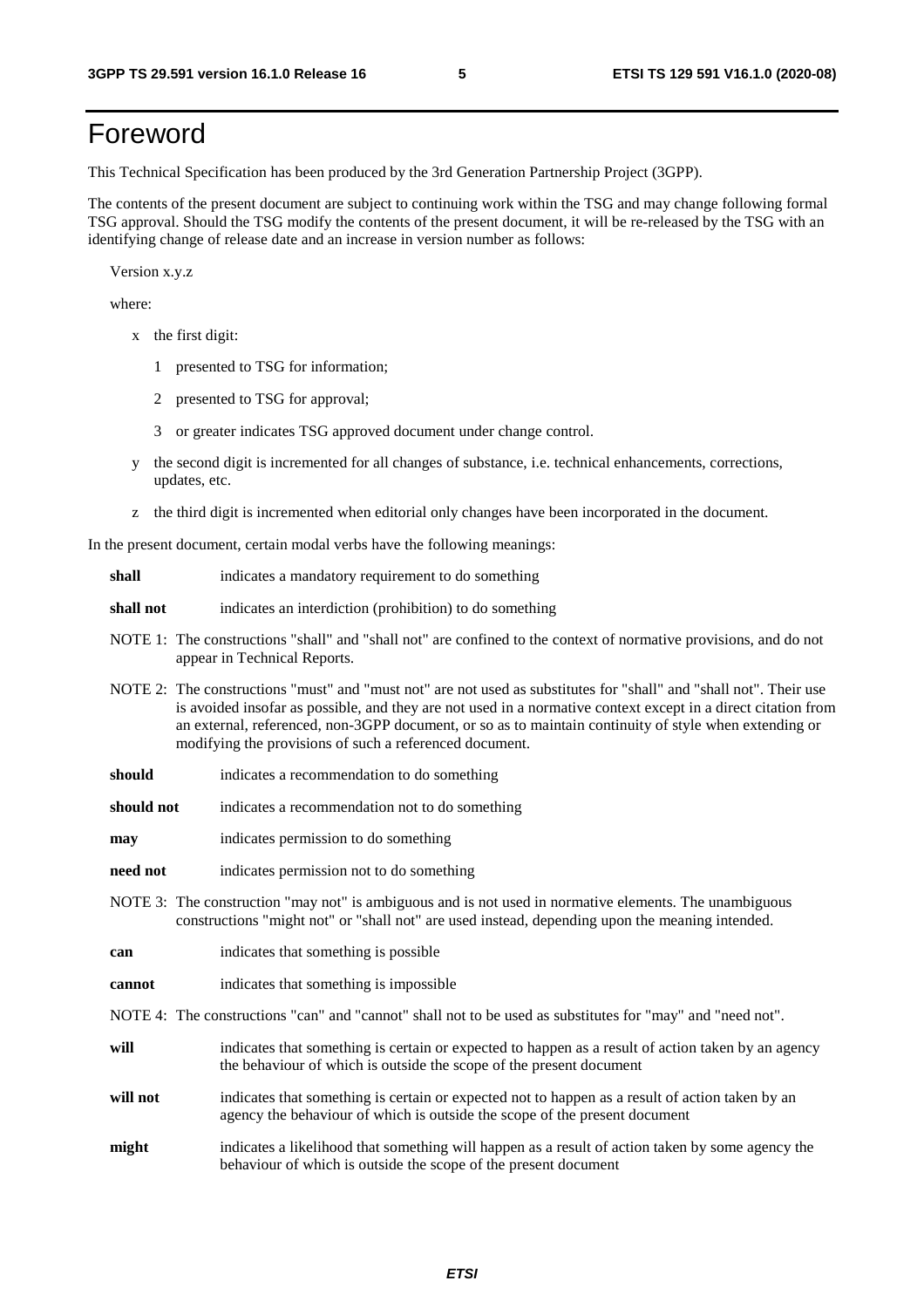# Foreword

This Technical Specification has been produced by the 3rd Generation Partnership Project (3GPP).

The contents of the present document are subject to continuing work within the TSG and may change following formal TSG approval. Should the TSG modify the contents of the present document, it will be re-released by the TSG with an identifying change of release date and an increase in version number as follows:

Version x.y.z

where:

- x the first digit:
	- 1 presented to TSG for information;
	- 2 presented to TSG for approval;
	- 3 or greater indicates TSG approved document under change control.
- y the second digit is incremented for all changes of substance, i.e. technical enhancements, corrections, updates, etc.
- z the third digit is incremented when editorial only changes have been incorporated in the document.

In the present document, certain modal verbs have the following meanings:

- **shall** indicates a mandatory requirement to do something
- **shall not** indicates an interdiction (prohibition) to do something
- NOTE 1: The constructions "shall" and "shall not" are confined to the context of normative provisions, and do not appear in Technical Reports.
- NOTE 2: The constructions "must" and "must not" are not used as substitutes for "shall" and "shall not". Their use is avoided insofar as possible, and they are not used in a normative context except in a direct citation from an external, referenced, non-3GPP document, or so as to maintain continuity of style when extending or modifying the provisions of such a referenced document.
- **should** indicates a recommendation to do something
- **should not** indicates a recommendation not to do something
- **may** indicates permission to do something
- **need not** indicates permission not to do something
- NOTE 3: The construction "may not" is ambiguous and is not used in normative elements. The unambiguous constructions "might not" or "shall not" are used instead, depending upon the meaning intended.
- **can** indicates that something is possible
- **cannot** indicates that something is impossible
- NOTE 4: The constructions "can" and "cannot" shall not to be used as substitutes for "may" and "need not".
- **will** indicates that something is certain or expected to happen as a result of action taken by an agency the behaviour of which is outside the scope of the present document
- **will not** indicates that something is certain or expected not to happen as a result of action taken by an agency the behaviour of which is outside the scope of the present document
- **might** indicates a likelihood that something will happen as a result of action taken by some agency the behaviour of which is outside the scope of the present document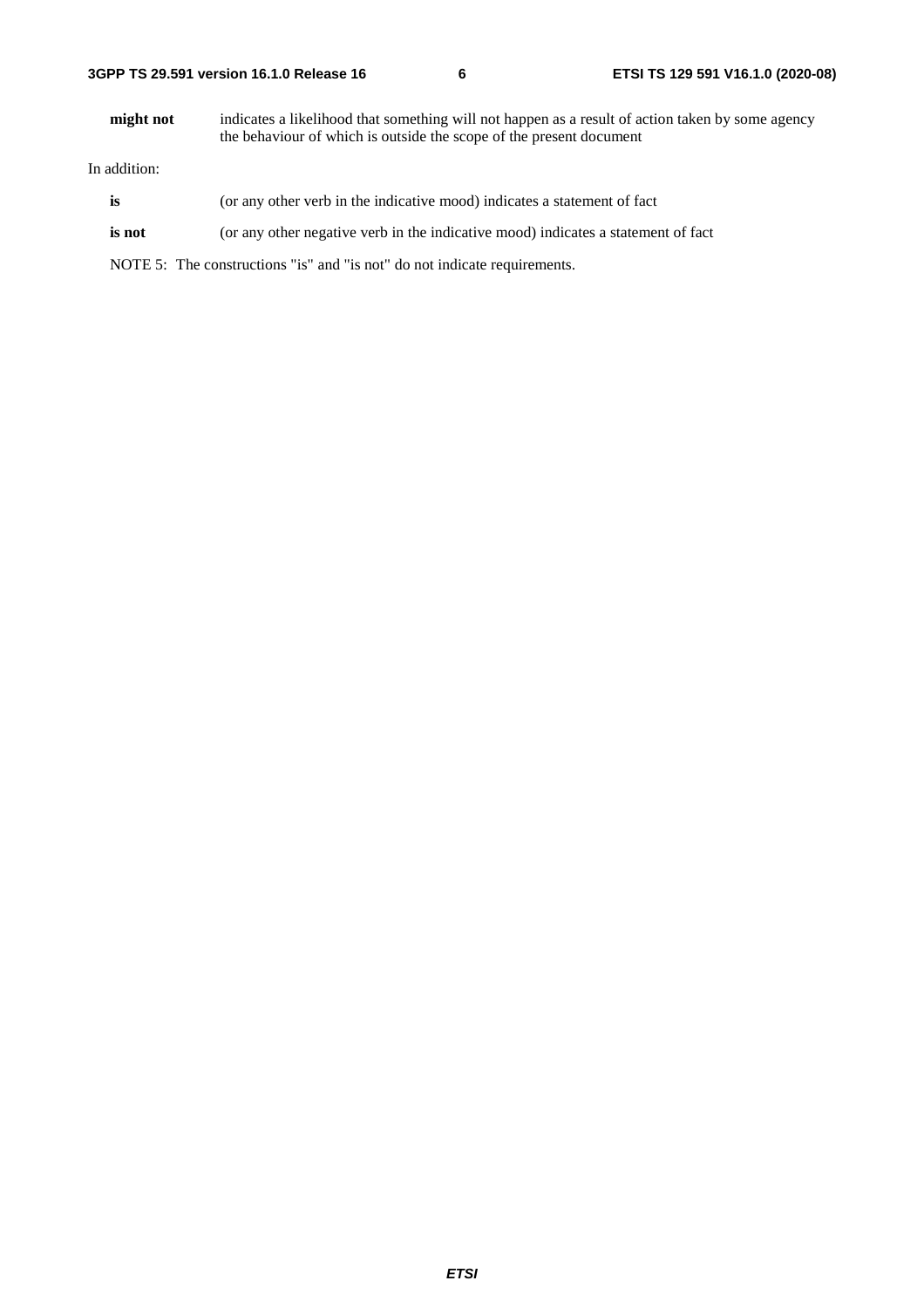**might not** indicates a likelihood that something will not happen as a result of action taken by some agency the behaviour of which is outside the scope of the present document

In addition:

- is (or any other verb in the indicative mood) indicates a statement of fact
- **is not** (or any other negative verb in the indicative mood) indicates a statement of fact

NOTE 5: The constructions "is" and "is not" do not indicate requirements.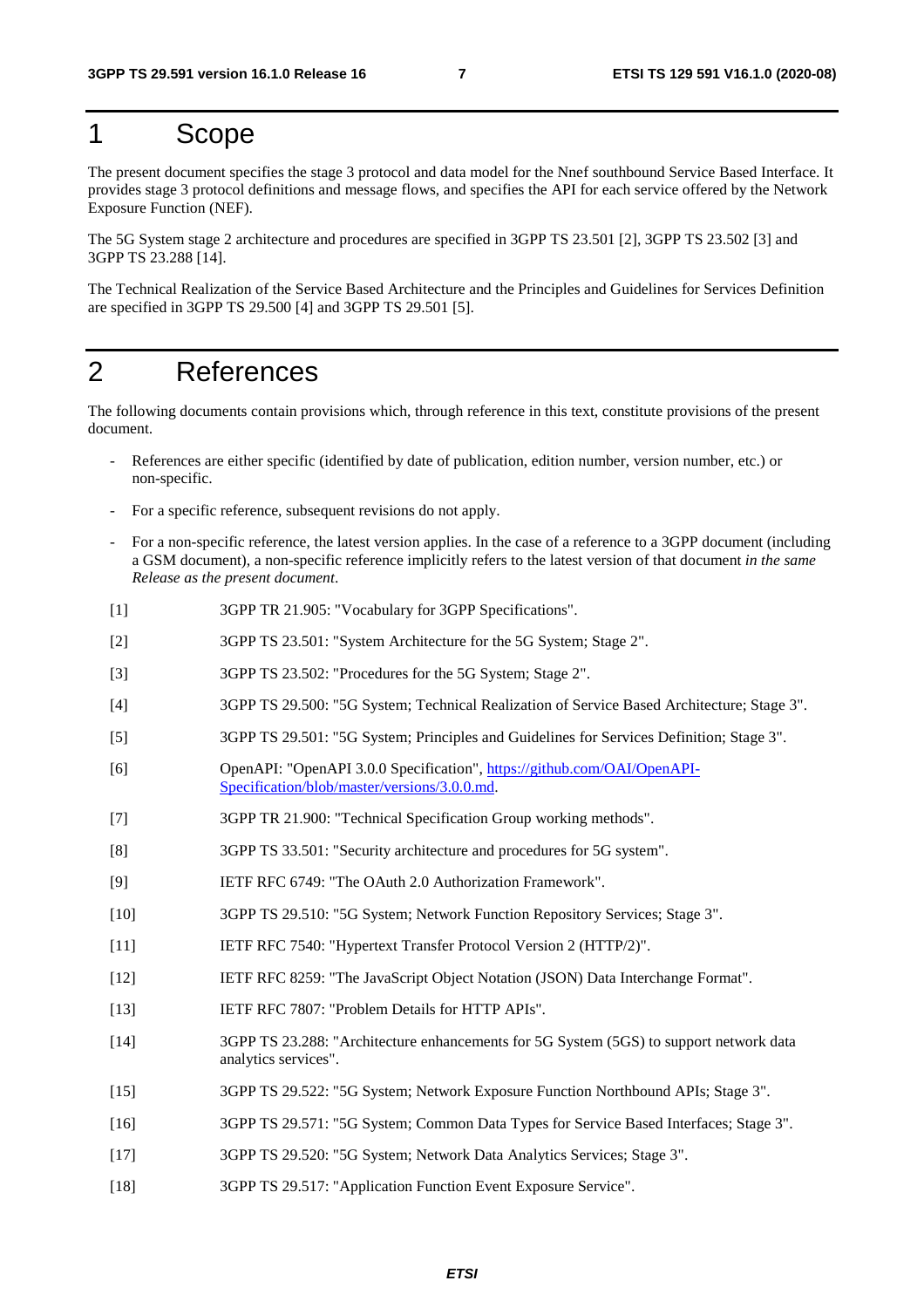# 1 Scope

The present document specifies the stage 3 protocol and data model for the Nnef southbound Service Based Interface. It provides stage 3 protocol definitions and message flows, and specifies the API for each service offered by the Network Exposure Function (NEF).

The 5G System stage 2 architecture and procedures are specified in 3GPP TS 23.501 [2], 3GPP TS 23.502 [3] and 3GPP TS 23.288 [14].

The Technical Realization of the Service Based Architecture and the Principles and Guidelines for Services Definition are specified in 3GPP TS 29.500 [4] and 3GPP TS 29.501 [5].

# 2 References

The following documents contain provisions which, through reference in this text, constitute provisions of the present document.

- References are either specific (identified by date of publication, edition number, version number, etc.) or non-specific.
- For a specific reference, subsequent revisions do not apply.
- For a non-specific reference, the latest version applies. In the case of a reference to a 3GPP document (including a GSM document), a non-specific reference implicitly refers to the latest version of that document *in the same Release as the present document*.
- [1] 3GPP TR 21.905: "Vocabulary for 3GPP Specifications".
- [2] 3GPP TS 23.501: "System Architecture for the 5G System; Stage 2".
- [3] 3GPP TS 23.502: "Procedures for the 5G System; Stage 2".
- [4] 3GPP TS 29.500: "5G System; Technical Realization of Service Based Architecture; Stage 3".
- [5] 3GPP TS 29.501: "5G System; Principles and Guidelines for Services Definition; Stage 3".
- [6] OpenAPI: "OpenAPI 3.0.0 Specification", [https://github.com/OAI/OpenAPI](https://github.com/OAI/OpenAPI-Specification/blob/master/versions/3.0.0.md)-[Specification/blob/master/versions/3.0.0.md](https://github.com/OAI/OpenAPI-Specification/blob/master/versions/3.0.0.md).
- [7] 3GPP TR 21.900: "Technical Specification Group working methods".
- [8] 3GPP TS 33.501: "Security architecture and procedures for 5G system".
- [9] IETF RFC 6749: "The OAuth 2.0 Authorization Framework".
- [10] 3GPP TS 29.510: "5G System; Network Function Repository Services; Stage 3".
- [11] IETF RFC 7540: "Hypertext Transfer Protocol Version 2 (HTTP/2)".
- [12] IETF RFC 8259: "The JavaScript Object Notation (JSON) Data Interchange Format".
- [13] IETF RFC 7807: "Problem Details for HTTP APIs".
- [14] 3GPP TS 23.288: "Architecture enhancements for 5G System (5GS) to support network data analytics services".
- [15] 3GPP TS 29.522: "5G System; Network Exposure Function Northbound APIs; Stage 3".
- [16] 3GPP TS 29.571: "5G System; Common Data Types for Service Based Interfaces; Stage 3".
- [17] 3GPP TS 29.520: "5G System; Network Data Analytics Services; Stage 3".
- [18] 3GPP TS 29.517: "Application Function Event Exposure Service".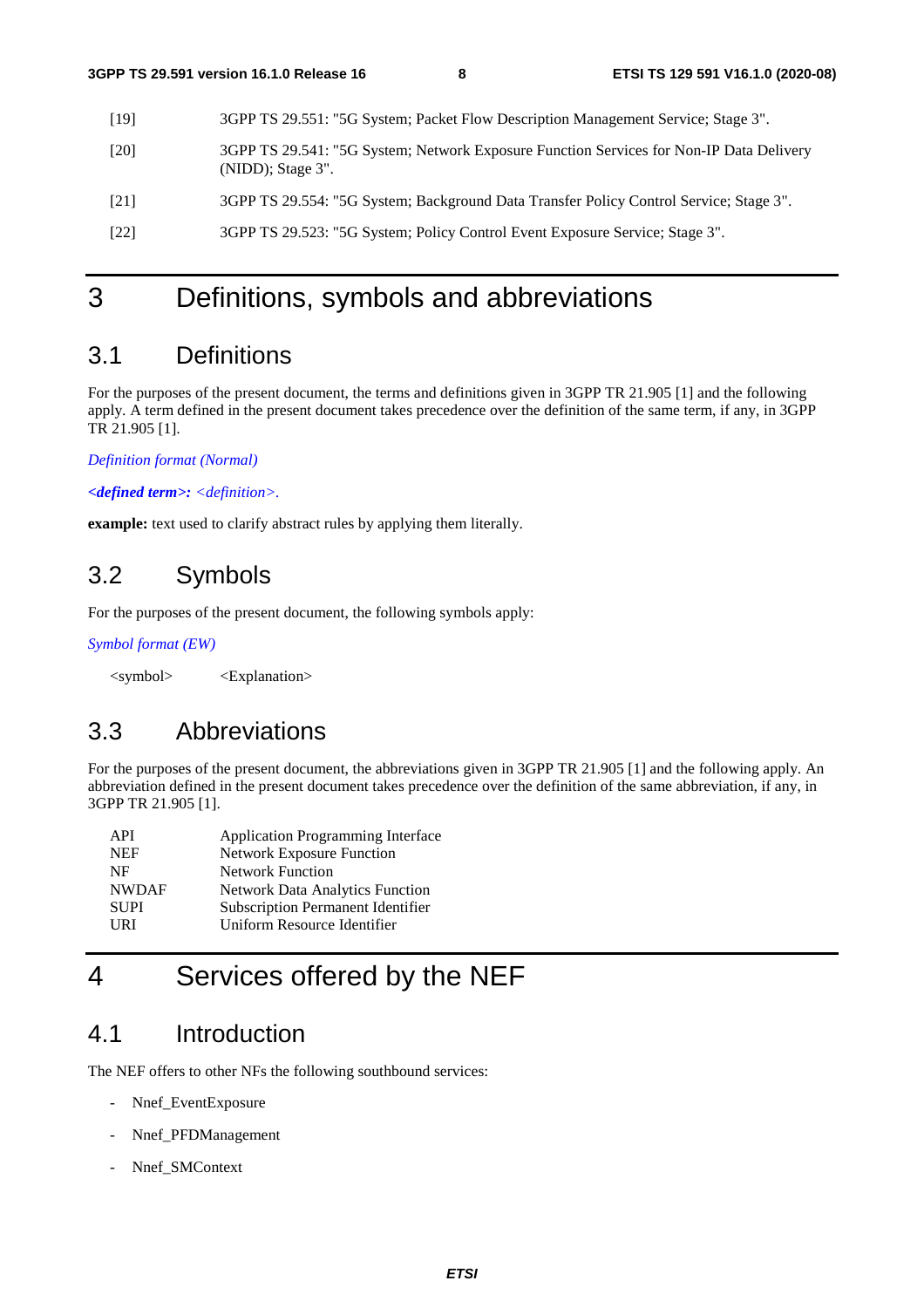| [19]   | 3GPP TS 29.551: "5G System; Packet Flow Description Management Service; Stage 3".                                  |
|--------|--------------------------------------------------------------------------------------------------------------------|
| [20]   | 3GPP TS 29.541: "5G System; Network Exposure Function Services for Non-IP Data Delivery<br>$(NIDD)$ ; Stage $3"$ . |
| [21]   | 3GPP TS 29.554: "5G System; Background Data Transfer Policy Control Service; Stage 3".                             |
| $[22]$ | 3GPP TS 29.523: "5G System; Policy Control Event Exposure Service; Stage 3".                                       |
|        |                                                                                                                    |

# 3 Definitions, symbols and abbreviations

# 3.1 Definitions

For the purposes of the present document, the terms and definitions given in 3GPP TR 21.905 [1] and the following apply. A term defined in the present document takes precedence over the definition of the same term, if any, in 3GPP TR 21.905 [1].

*Definition format (Normal)* 

*<defined term>: <definition>.* 

**example:** text used to clarify abstract rules by applying them literally.

# 3.2 Symbols

For the purposes of the present document, the following symbols apply:

*Symbol format (EW)* 

<symbol> <Explanation>

# 3.3 Abbreviations

For the purposes of the present document, the abbreviations given in 3GPP TR 21.905 [1] and the following apply. An abbreviation defined in the present document takes precedence over the definition of the same abbreviation, if any, in 3GPP TR 21.905 [1].

| API          | <b>Application Programming Interface</b> |
|--------------|------------------------------------------|
| <b>NEF</b>   | <b>Network Exposure Function</b>         |
| NF           | <b>Network Function</b>                  |
| <b>NWDAF</b> | <b>Network Data Analytics Function</b>   |
| <b>SUPI</b>  | <b>Subscription Permanent Identifier</b> |
| <b>URI</b>   | Uniform Resource Identifier              |
|              |                                          |

# 4 Services offered by the NEF

# 4.1 Introduction

The NEF offers to other NFs the following southbound services:

- Nnef\_EventExposure
- Nnef\_PFDManagement
- Nnef\_SMContext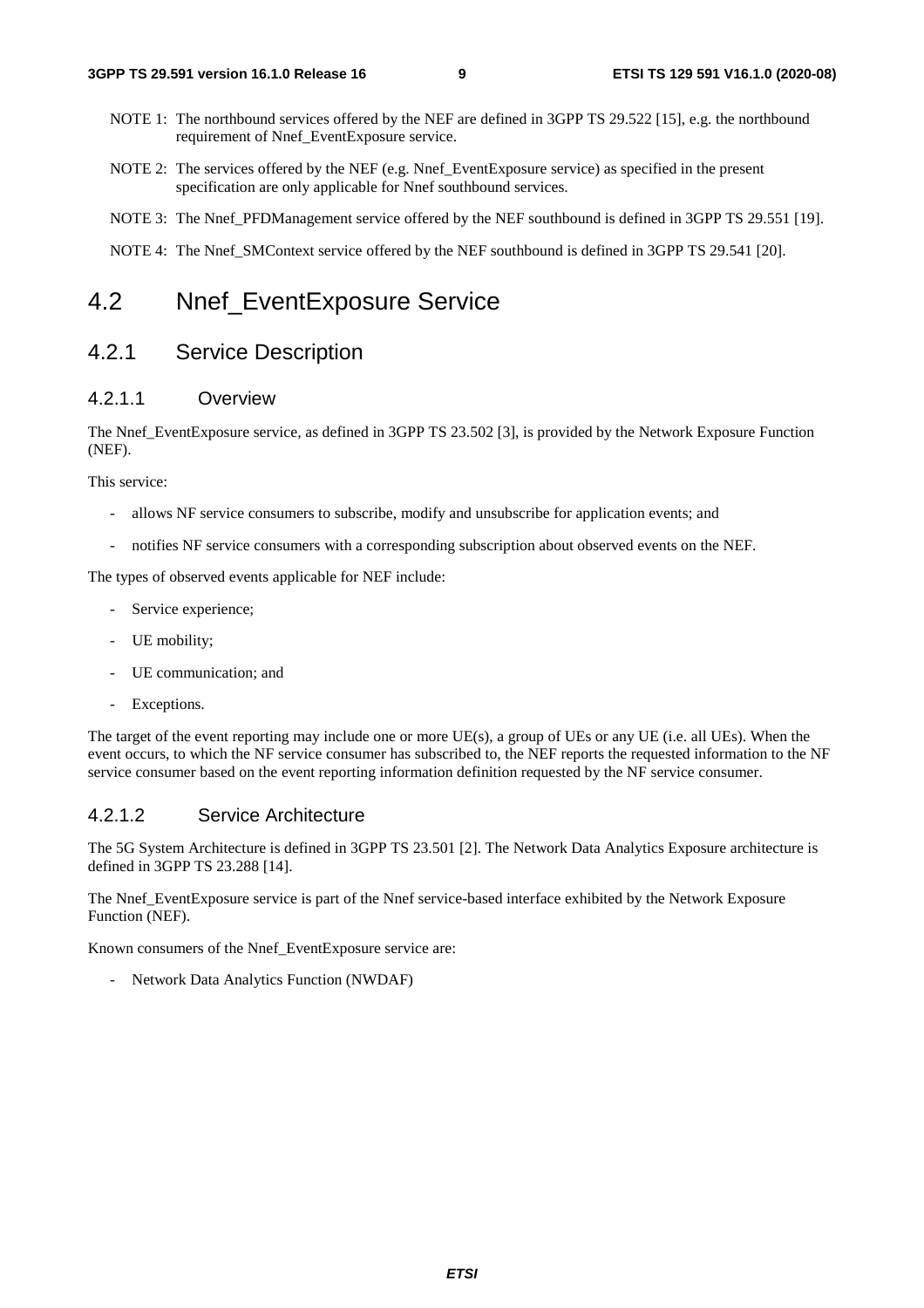- NOTE 1: The northbound services offered by the NEF are defined in 3GPP TS 29.522 [15], e.g. the northbound requirement of Nnef\_EventExposure service.
- NOTE 2: The services offered by the NEF (e.g. Nnef\_EventExposure service) as specified in the present specification are only applicable for Nnef southbound services.
- NOTE 3: The Nnef\_PFDManagement service offered by the NEF southbound is defined in 3GPP TS 29.551 [19].
- NOTE 4: The Nnef\_SMContext service offered by the NEF southbound is defined in 3GPP TS 29.541 [20].

# 4.2 Nnef EventExposure Service

# 4.2.1 Service Description

#### 4.2.1.1 Overview

The Nnef\_EventExposure service, as defined in 3GPP TS 23.502 [3], is provided by the Network Exposure Function (NEF).

This service:

- allows NF service consumers to subscribe, modify and unsubscribe for application events; and
- notifies NF service consumers with a corresponding subscription about observed events on the NEF.

The types of observed events applicable for NEF include:

- Service experience;
- UE mobility;
- UE communication; and
- Exceptions.

The target of the event reporting may include one or more UE(s), a group of UEs or any UE (i.e. all UEs). When the event occurs, to which the NF service consumer has subscribed to, the NEF reports the requested information to the NF service consumer based on the event reporting information definition requested by the NF service consumer.

#### 4.2.1.2 Service Architecture

The 5G System Architecture is defined in 3GPP TS 23.501 [2]. The Network Data Analytics Exposure architecture is defined in 3GPP TS 23.288 [14].

The Nnef\_EventExposure service is part of the Nnef service-based interface exhibited by the Network Exposure Function (NEF).

Known consumers of the Nnef\_EventExposure service are:

- Network Data Analytics Function (NWDAF)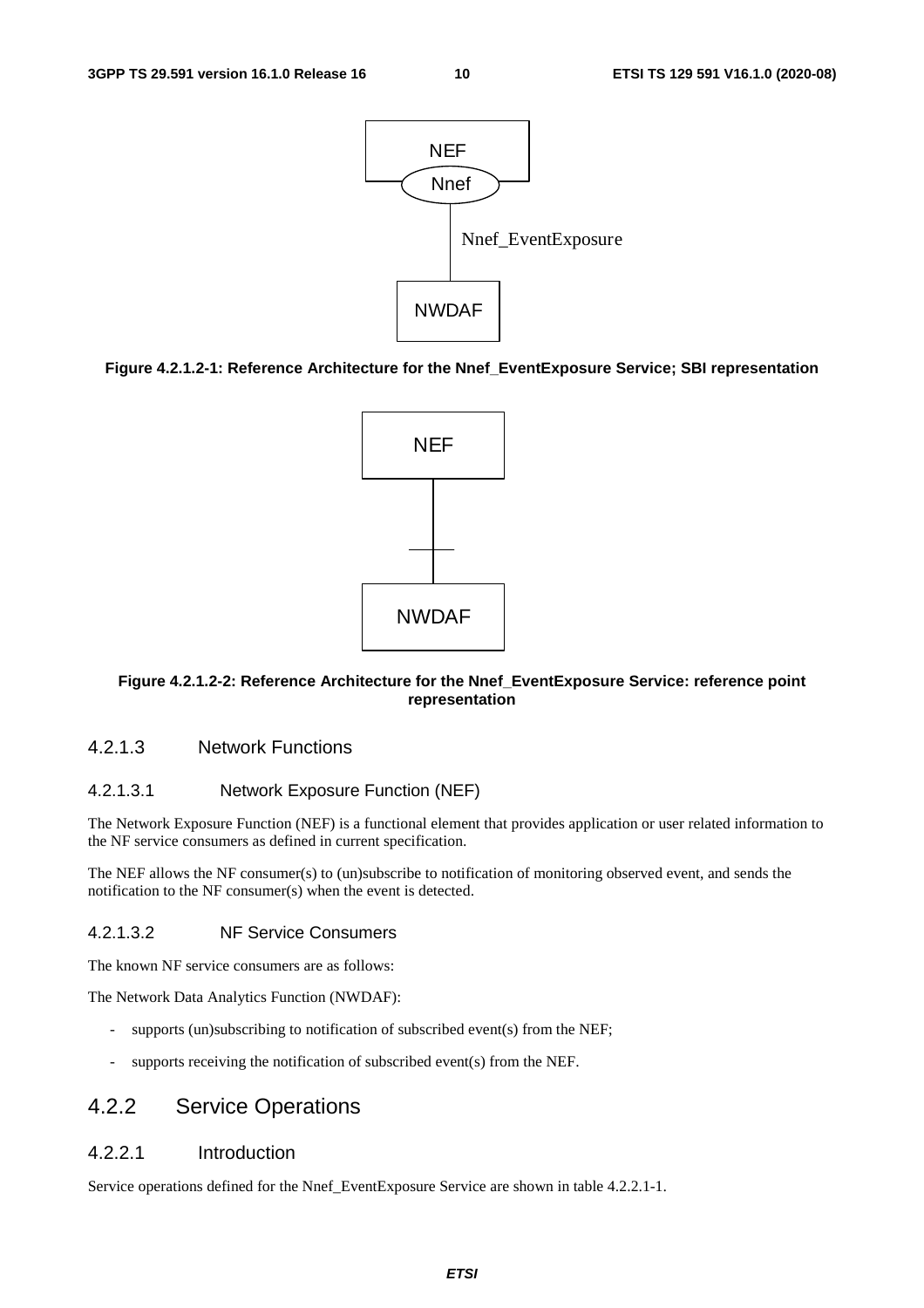

#### **Figure 4.2.1.2-1: Reference Architecture for the Nnef\_EventExposure Service; SBI representation**



#### **Figure 4.2.1.2-2: Reference Architecture for the Nnef\_EventExposure Service: reference point representation**

#### 4.2.1.3 Network Functions

#### 4.2.1.3.1 Network Exposure Function (NEF)

The Network Exposure Function (NEF) is a functional element that provides application or user related information to the NF service consumers as defined in current specification.

The NEF allows the NF consumer(s) to (un)subscribe to notification of monitoring observed event, and sends the notification to the NF consumer(s) when the event is detected.

#### 4.2.1.3.2 NF Service Consumers

The known NF service consumers are as follows:

The Network Data Analytics Function (NWDAF):

- supports (un)subscribing to notification of subscribed event(s) from the NEF;
- supports receiving the notification of subscribed event(s) from the NEF.

# 4.2.2 Service Operations

#### 4.2.2.1 Introduction

Service operations defined for the Nnef\_EventExposure Service are shown in table 4.2.2.1-1.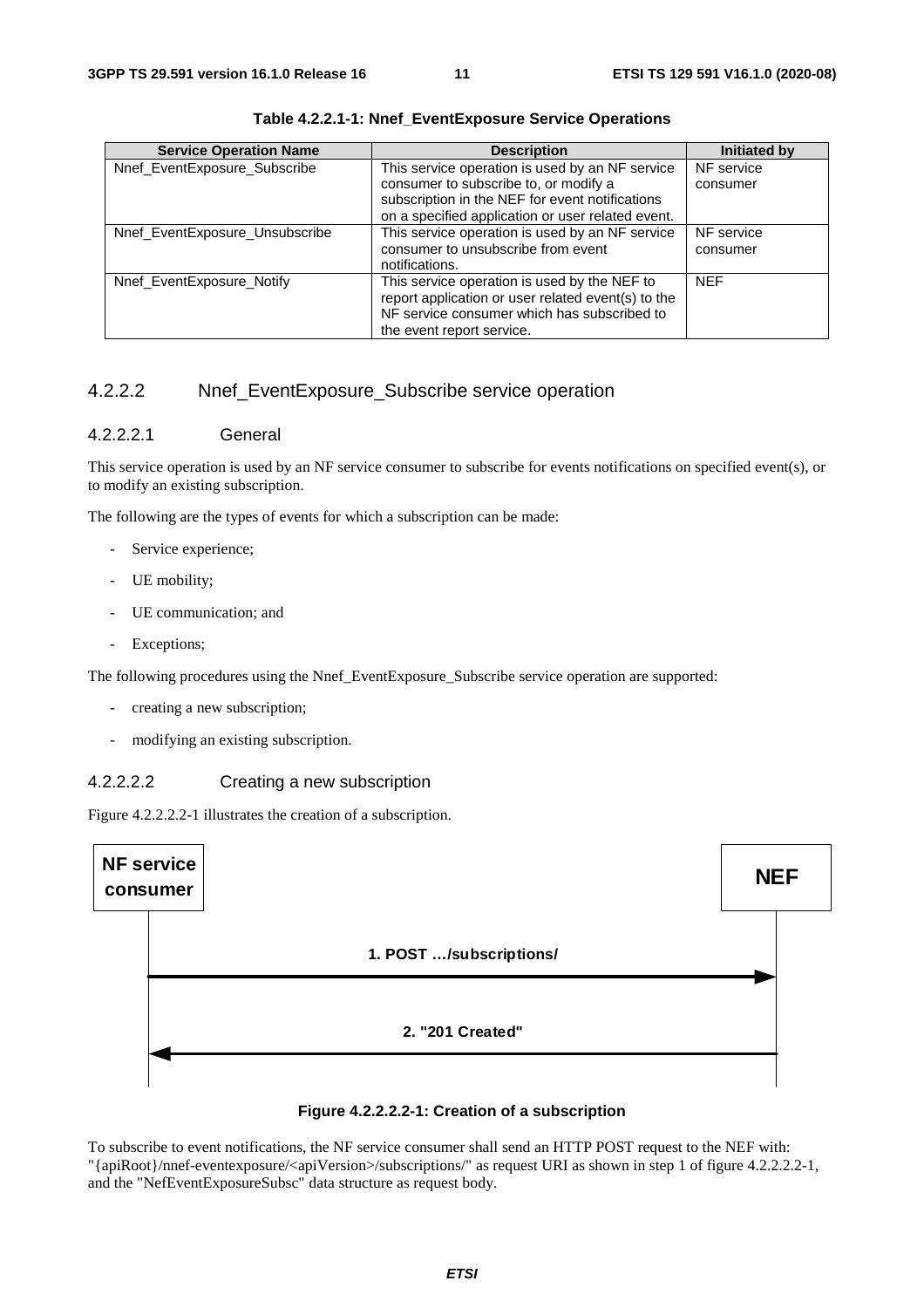| <b>Service Operation Name</b>  | <b>Description</b>                                 | <b>Initiated by</b> |
|--------------------------------|----------------------------------------------------|---------------------|
| Nnef_EventExposure_Subscribe   | This service operation is used by an NF service    | NF service          |
|                                | consumer to subscribe to, or modify a              | consumer            |
|                                | subscription in the NEF for event notifications    |                     |
|                                | on a specified application or user related event.  |                     |
| Nnef_EventExposure_Unsubscribe | This service operation is used by an NF service    | NF service          |
|                                | consumer to unsubscribe from event                 | consumer            |
|                                | notifications.                                     |                     |
| Nnef EventExposure Notify      | This service operation is used by the NEF to       | <b>NEF</b>          |
|                                | report application or user related event(s) to the |                     |
|                                | NF service consumer which has subscribed to        |                     |
|                                | the event report service.                          |                     |

**Table 4.2.2.1-1: Nnef\_EventExposure Service Operations**

# 4.2.2.2 Nnef\_EventExposure\_Subscribe service operation

#### 4.2.2.2.1 General

This service operation is used by an NF service consumer to subscribe for events notifications on specified event(s), or to modify an existing subscription.

The following are the types of events for which a subscription can be made:

- Service experience;
- UE mobility;
- UE communication; and
- Exceptions;

The following procedures using the Nnef\_EventExposure\_Subscribe service operation are supported:

- creating a new subscription;
- modifying an existing subscription.

#### 4.2.2.2.2 Creating a new subscription

Figure 4.2.2.2.2-1 illustrates the creation of a subscription.





To subscribe to event notifications, the NF service consumer shall send an HTTP POST request to the NEF with: "{apiRoot}/nnef-eventexposure/<apiVersion>/subscriptions/" as request URI as shown in step 1 of figure 4.2.2.2.2-1, and the "NefEventExposureSubsc" data structure as request body.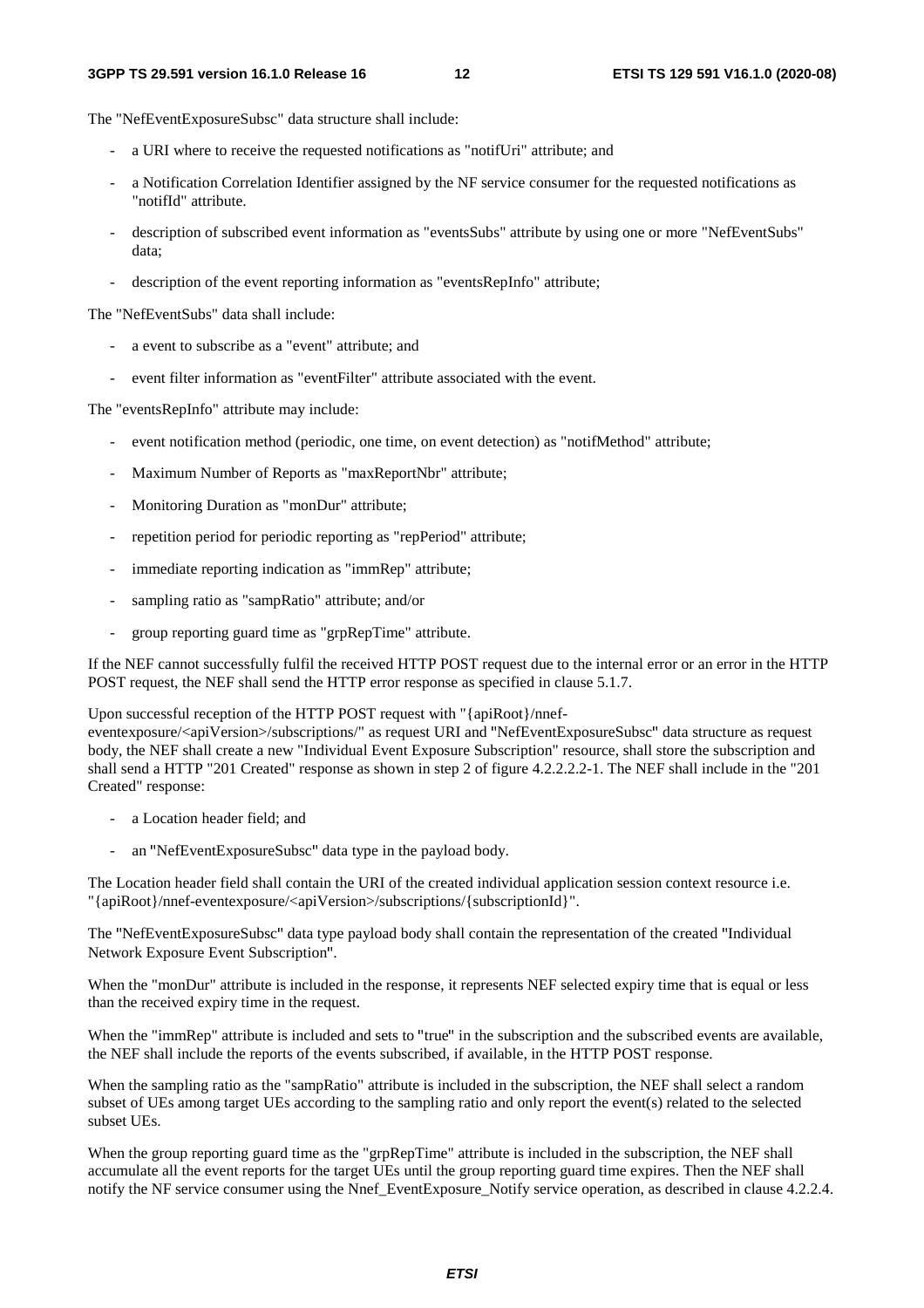The "NefEventExposureSubsc" data structure shall include:

- a URI where to receive the requested notifications as "notifUri" attribute; and
- a Notification Correlation Identifier assigned by the NF service consumer for the requested notifications as "notifId" attribute.
- description of subscribed event information as "eventsSubs" attribute by using one or more "NefEventSubs" data;
- description of the event reporting information as "eventsRepInfo" attribute;

The "NefEventSubs" data shall include:

- a event to subscribe as a "event" attribute; and
- event filter information as "eventFilter" attribute associated with the event.

The "eventsRepInfo" attribute may include:

- event notification method (periodic, one time, on event detection) as "notifMethod" attribute;
- Maximum Number of Reports as "maxReportNbr" attribute;
- Monitoring Duration as "monDur" attribute;
- repetition period for periodic reporting as "repPeriod" attribute:
- immediate reporting indication as "immRep" attribute;
- sampling ratio as "sampRatio" attribute; and/or
- group reporting guard time as "grpRepTime" attribute.

If the NEF cannot successfully fulfil the received HTTP POST request due to the internal error or an error in the HTTP POST request, the NEF shall send the HTTP error response as specified in clause 5.1.7.

#### Upon successful reception of the HTTP POST request with "{apiRoot}/nnef-

eventexposure/<apiVersion>/subscriptions/" as request URI and "NefEventExposureSubsc" data structure as request body, the NEF shall create a new "Individual Event Exposure Subscription" resource, shall store the subscription and shall send a HTTP "201 Created" response as shown in step 2 of figure 4.2.2.2.2-1. The NEF shall include in the "201 Created" response:

- a Location header field; and
- an "NefEventExposureSubsc" data type in the payload body.

The Location header field shall contain the URI of the created individual application session context resource i.e. "{apiRoot}/nnef-eventexposure/<apiVersion>/subscriptions/{subscriptionId}".

The "NefEventExposureSubsc" data type payload body shall contain the representation of the created "Individual Network Exposure Event Subscription".

When the "monDur" attribute is included in the response, it represents NEF selected expiry time that is equal or less than the received expiry time in the request.

When the "immRep" attribute is included and sets to "true" in the subscription and the subscribed events are available, the NEF shall include the reports of the events subscribed, if available, in the HTTP POST response.

When the sampling ratio as the "sampRatio" attribute is included in the subscription, the NEF shall select a random subset of UEs among target UEs according to the sampling ratio and only report the event(s) related to the selected subset UEs.

When the group reporting guard time as the "grpRepTime" attribute is included in the subscription, the NEF shall accumulate all the event reports for the target UEs until the group reporting guard time expires. Then the NEF shall notify the NF service consumer using the Nnef\_EventExposure\_Notify service operation, as described in clause 4.2.2.4.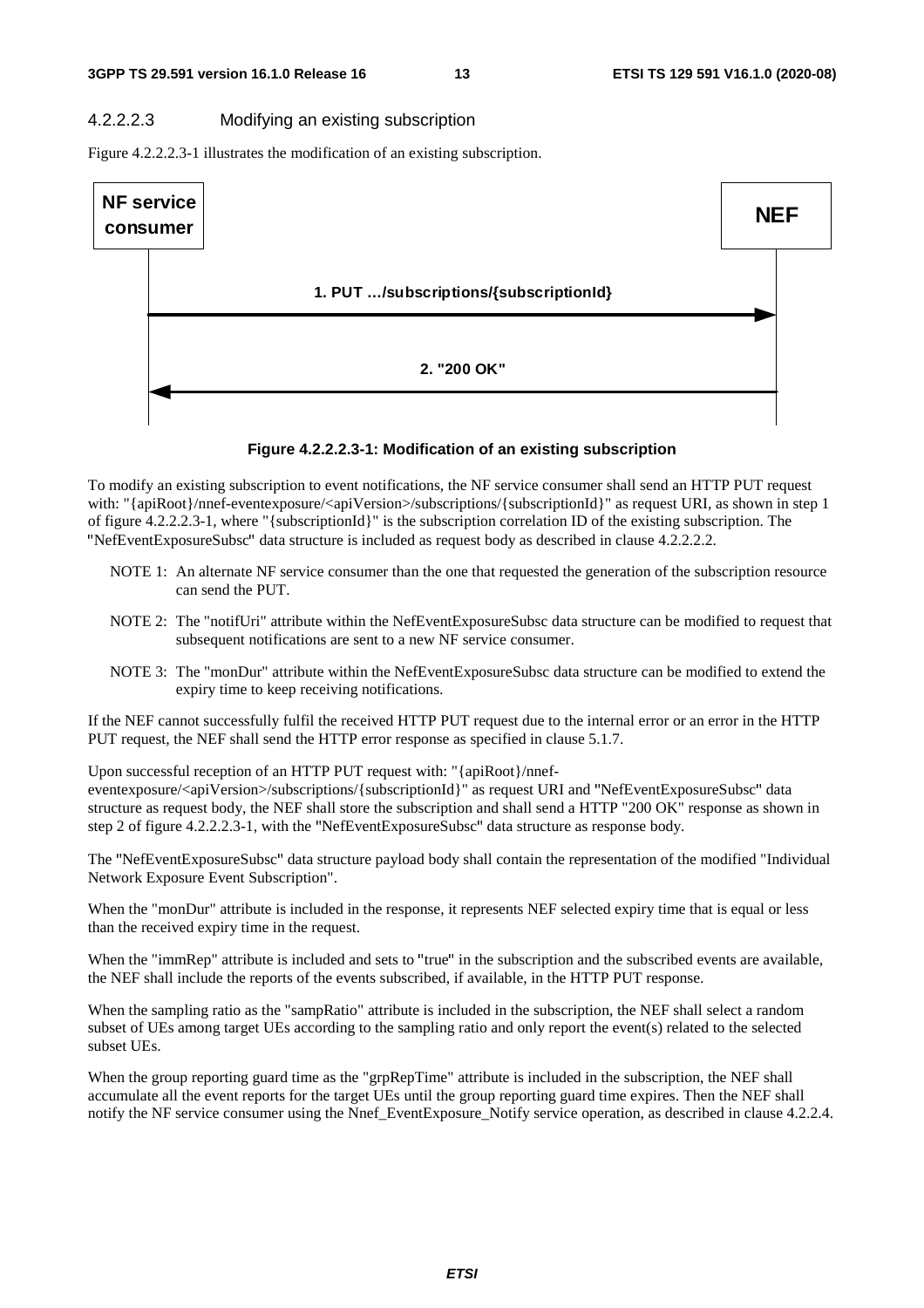#### 4.2.2.2.3 Modifying an existing subscription

Figure 4.2.2.2.3-1 illustrates the modification of an existing subscription.



#### **Figure 4.2.2.2.3-1: Modification of an existing subscription**

To modify an existing subscription to event notifications, the NF service consumer shall send an HTTP PUT request with: "{apiRoot}/nnef-eventexposure/<apiVersion>/subscriptions/{subscriptionId}" as request URI, as shown in step 1 of figure 4.2.2.2.3-1, where "{subscriptionId}" is the subscription correlation ID of the existing subscription. The "NefEventExposureSubsc" data structure is included as request body as described in clause 4.2.2.2.2.

- NOTE 1: An alternate NF service consumer than the one that requested the generation of the subscription resource can send the PUT.
- NOTE 2: The "notifUri" attribute within the NefEventExposureSubsc data structure can be modified to request that subsequent notifications are sent to a new NF service consumer.
- NOTE 3: The "monDur" attribute within the NefEventExposureSubsc data structure can be modified to extend the expiry time to keep receiving notifications.

If the NEF cannot successfully fulfil the received HTTP PUT request due to the internal error or an error in the HTTP PUT request, the NEF shall send the HTTP error response as specified in clause 5.1.7.

Upon successful reception of an HTTP PUT request with: "{apiRoot}/nnef-

eventexposure/<apiVersion>/subscriptions/{subscriptionId}" as request URI and "NefEventExposureSubsc" data structure as request body, the NEF shall store the subscription and shall send a HTTP "200 OK" response as shown in step 2 of figure 4.2.2.2.3-1, with the "NefEventExposureSubsc" data structure as response body.

The "NefEventExposureSubsc" data structure payload body shall contain the representation of the modified "Individual Network Exposure Event Subscription".

When the "monDur" attribute is included in the response, it represents NEF selected expiry time that is equal or less than the received expiry time in the request.

When the "immRep" attribute is included and sets to "true" in the subscription and the subscribed events are available, the NEF shall include the reports of the events subscribed, if available, in the HTTP PUT response.

When the sampling ratio as the "sampRatio" attribute is included in the subscription, the NEF shall select a random subset of UEs among target UEs according to the sampling ratio and only report the event(s) related to the selected subset UEs.

When the group reporting guard time as the "grpRepTime" attribute is included in the subscription, the NEF shall accumulate all the event reports for the target UEs until the group reporting guard time expires. Then the NEF shall notify the NF service consumer using the Nnef\_EventExposure\_Notify service operation, as described in clause 4.2.2.4.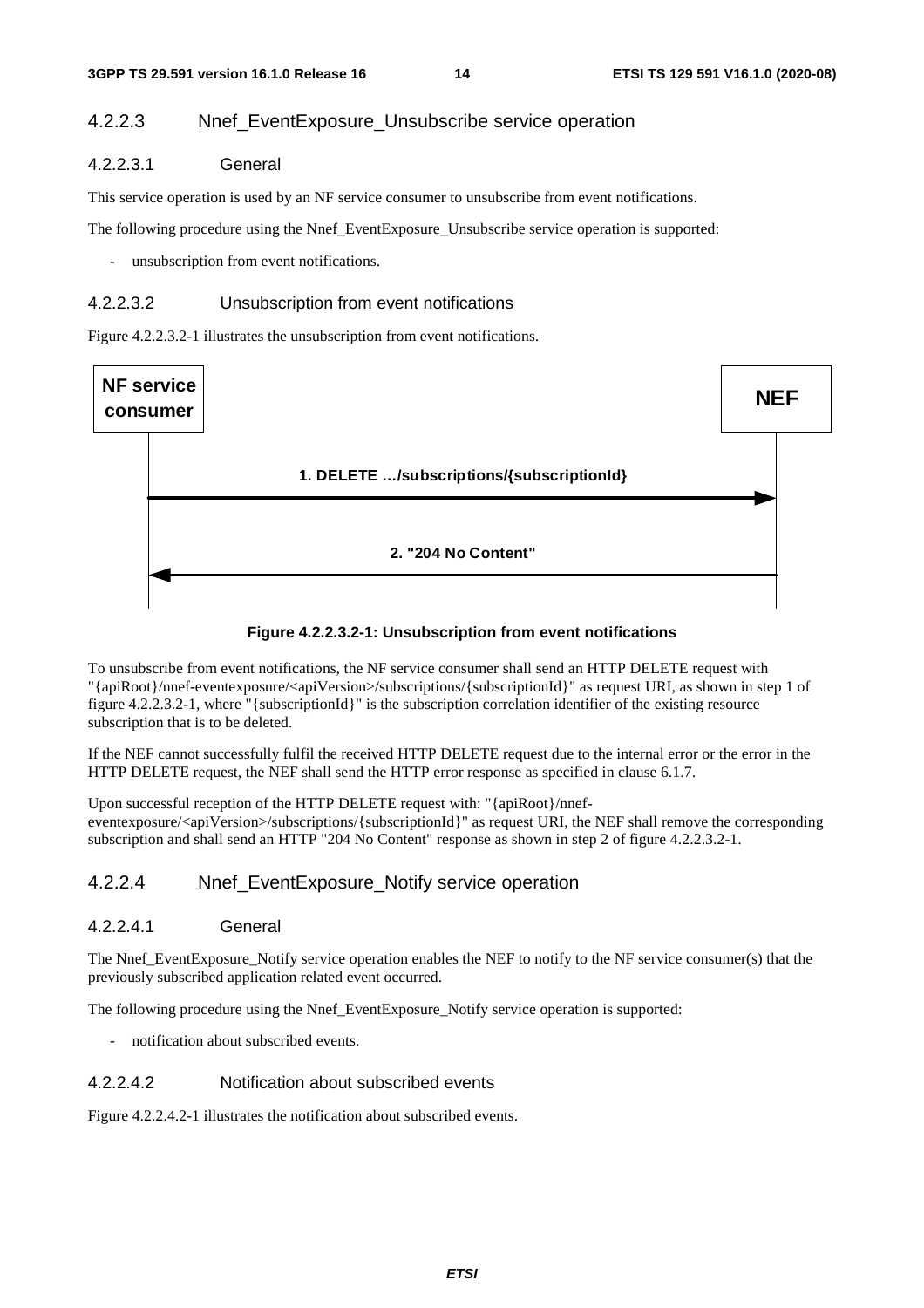# 4.2.2.3 Nnef\_EventExposure\_Unsubscribe service operation

#### 4.2.2.3.1 General

This service operation is used by an NF service consumer to unsubscribe from event notifications.

The following procedure using the Nnef\_EventExposure\_Unsubscribe service operation is supported:

- unsubscription from event notifications.

#### 4.2.2.3.2 Unsubscription from event notifications

Figure 4.2.2.3.2-1 illustrates the unsubscription from event notifications.





To unsubscribe from event notifications, the NF service consumer shall send an HTTP DELETE request with "{apiRoot}/nnef-eventexposure/<apiVersion>/subscriptions/{subscriptionId}" as request URI, as shown in step 1 of figure 4.2.2.3.2-1, where "{subscriptionId}" is the subscription correlation identifier of the existing resource subscription that is to be deleted.

If the NEF cannot successfully fulfil the received HTTP DELETE request due to the internal error or the error in the HTTP DELETE request, the NEF shall send the HTTP error response as specified in clause 6.1.7.

Upon successful reception of the HTTP DELETE request with: "{apiRoot}/nnefeventexposure/<apiVersion>/subscriptions/{subscriptionId}" as request URI, the NEF shall remove the corresponding subscription and shall send an HTTP "204 No Content" response as shown in step 2 of figure 4.2.2.3.2-1.

### 4.2.2.4 Nnef EventExposure Notify service operation

#### 4.2.2.4.1 General

The Nnef\_EventExposure\_Notify service operation enables the NEF to notify to the NF service consumer(s) that the previously subscribed application related event occurred.

The following procedure using the Nnef\_EventExposure\_Notify service operation is supported:

notification about subscribed events.

### 4.2.2.4.2 Notification about subscribed events

Figure 4.2.2.4.2-1 illustrates the notification about subscribed events.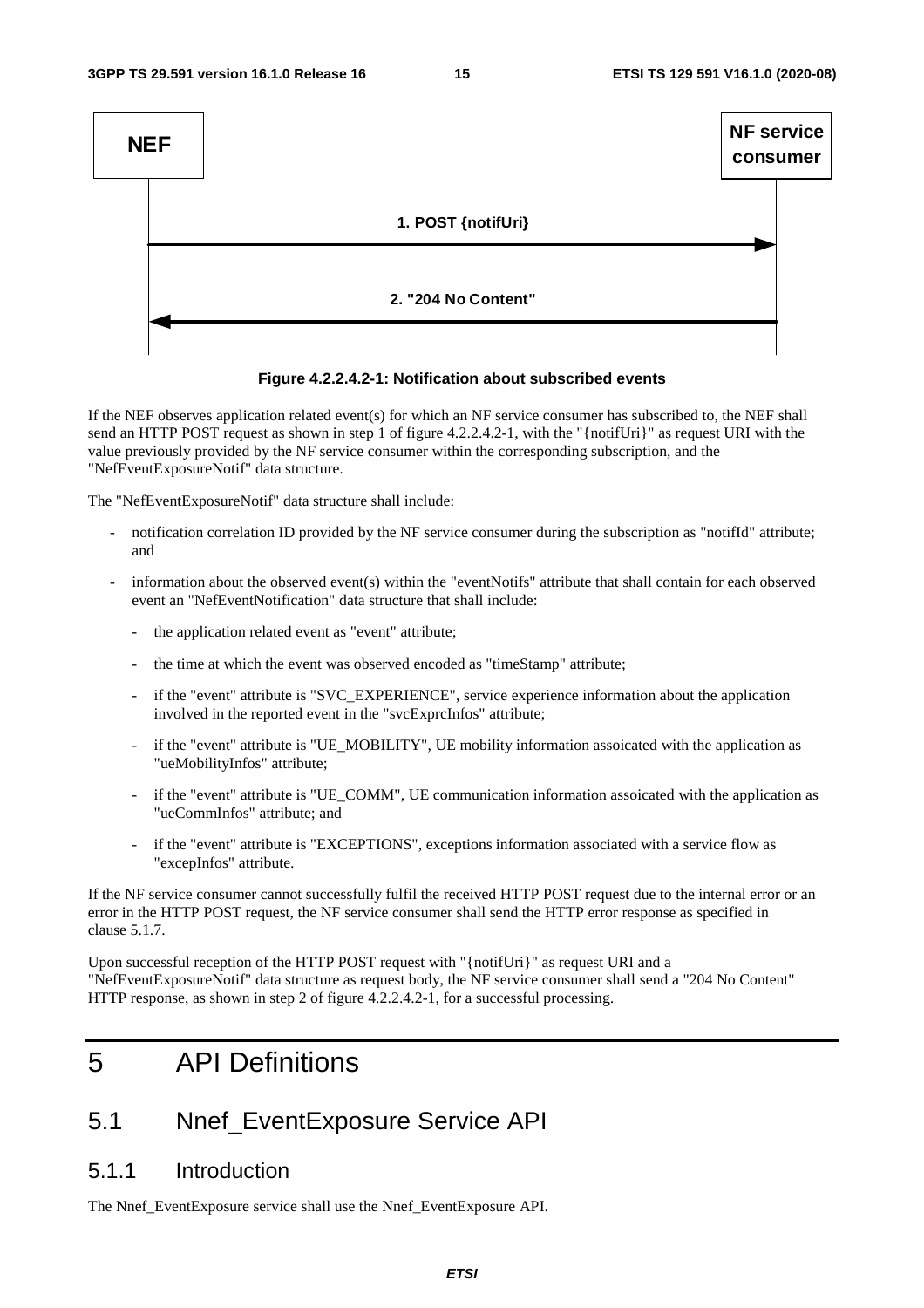

#### **Figure 4.2.2.4.2-1: Notification about subscribed events**

If the NEF observes application related event(s) for which an NF service consumer has subscribed to, the NEF shall send an HTTP POST request as shown in step 1 of figure 4.2.2.4.2-1, with the "{notifUri}" as request URI with the value previously provided by the NF service consumer within the corresponding subscription, and the "NefEventExposureNotif" data structure.

The "NefEventExposureNotif" data structure shall include:

- notification correlation ID provided by the NF service consumer during the subscription as "notifId" attribute; and
- information about the observed event(s) within the "eventNotifs" attribute that shall contain for each observed event an "NefEventNotification" data structure that shall include:
	- the application related event as "event" attribute;
	- the time at which the event was observed encoded as "timeStamp" attribute;
	- if the "event" attribute is "SVC\_EXPERIENCE", service experience information about the application involved in the reported event in the "svcExprcInfos" attribute;
	- if the "event" attribute is "UE\_MOBILITY", UE mobility information assoicated with the application as "ueMobilityInfos" attribute;
	- if the "event" attribute is "UE\_COMM", UE communication information assoicated with the application as "ueCommInfos" attribute; and
	- if the "event" attribute is "EXCEPTIONS", exceptions information associated with a service flow as "excepInfos" attribute.

If the NF service consumer cannot successfully fulfil the received HTTP POST request due to the internal error or an error in the HTTP POST request, the NF service consumer shall send the HTTP error response as specified in clause 5.1.7.

Upon successful reception of the HTTP POST request with "{notifUri}" as request URI and a "NefEventExposureNotif" data structure as request body, the NF service consumer shall send a "204 No Content" HTTP response, as shown in step 2 of figure 4.2.2.4.2-1, for a successful processing.

# 5 API Definitions

# 5.1 Nnef\_EventExposure Service API

# 5.1.1 Introduction

The Nnef\_EventExposure service shall use the Nnef\_EventExposure API.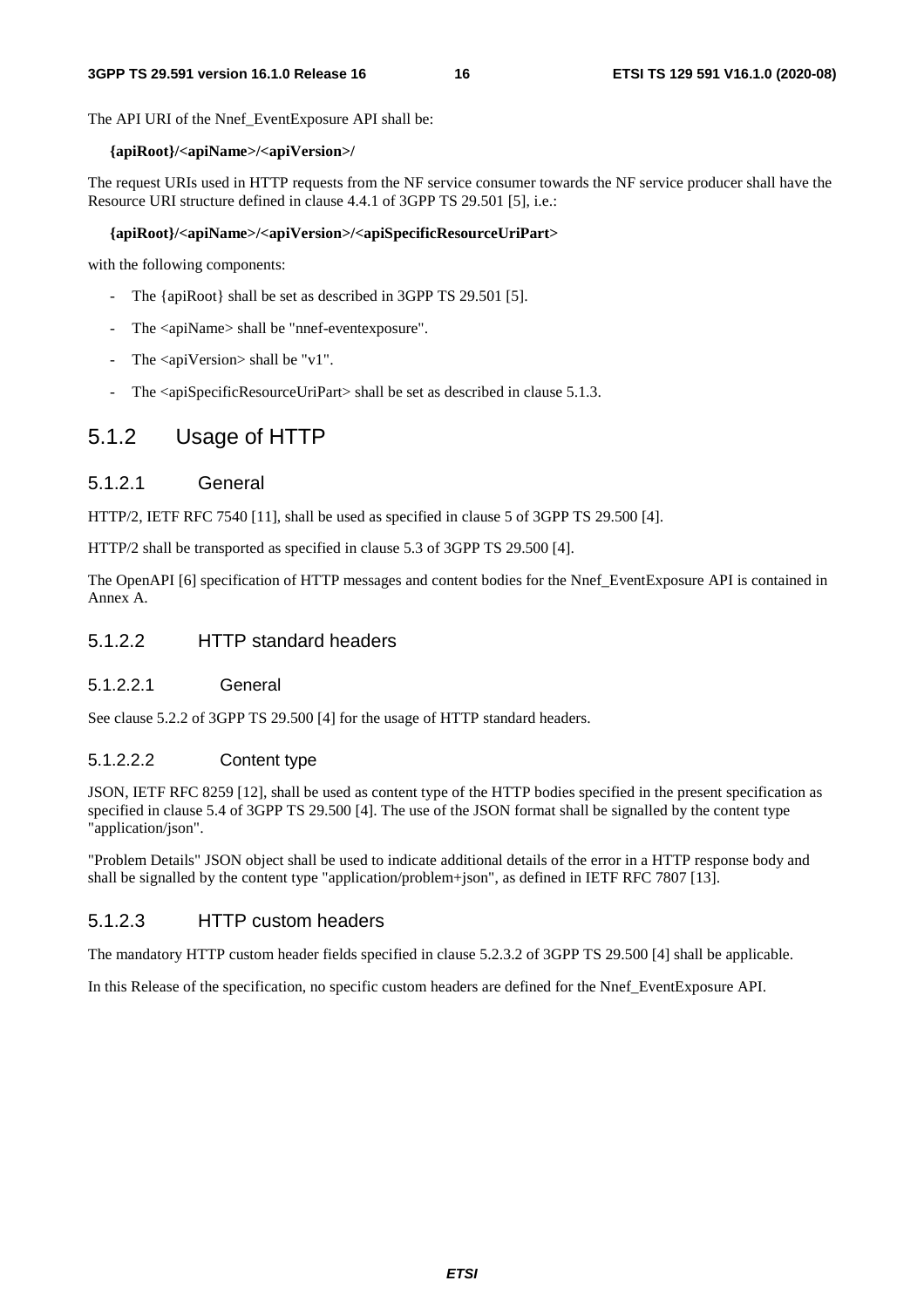The API URI of the Nnef\_EventExposure API shall be:

#### **{apiRoot}/<apiName>/<apiVersion>/**

The request URIs used in HTTP requests from the NF service consumer towards the NF service producer shall have the Resource URI structure defined in clause 4.4.1 of 3GPP TS 29.501 [5], i.e.:

#### **{apiRoot}/<apiName>/<apiVersion>/<apiSpecificResourceUriPart>**

with the following components:

- The {apiRoot} shall be set as described in 3GPP TS 29.501 [5].
- The <apiName> shall be "nnef-eventexposure".
- The  $\langle$ apiVersion $>$ shall be "v1".
- The <apiSpecificResourceUriPart> shall be set as described in clause 5.1.3.

# 5.1.2 Usage of HTTP

#### 5.1.2.1 General

HTTP/2, IETF RFC 7540 [11], shall be used as specified in clause 5 of 3GPP TS 29.500 [4].

HTTP/2 shall be transported as specified in clause 5.3 of 3GPP TS 29.500 [4].

The OpenAPI [6] specification of HTTP messages and content bodies for the Nnef\_EventExposure API is contained in Annex A.

### 5.1.2.2 HTTP standard headers

5.1.2.2.1 General

See clause 5.2.2 of 3GPP TS 29.500 [4] for the usage of HTTP standard headers.

#### 5.1.2.2.2 Content type

JSON, IETF RFC 8259 [12], shall be used as content type of the HTTP bodies specified in the present specification as specified in clause 5.4 of 3GPP TS 29.500 [4]. The use of the JSON format shall be signalled by the content type "application/json".

"Problem Details" JSON object shall be used to indicate additional details of the error in a HTTP response body and shall be signalled by the content type "application/problem+json", as defined in IETF RFC 7807 [13].

#### 5.1.2.3 HTTP custom headers

The mandatory HTTP custom header fields specified in clause 5.2.3.2 of 3GPP TS 29.500 [4] shall be applicable.

In this Release of the specification, no specific custom headers are defined for the Nnef\_EventExposure API.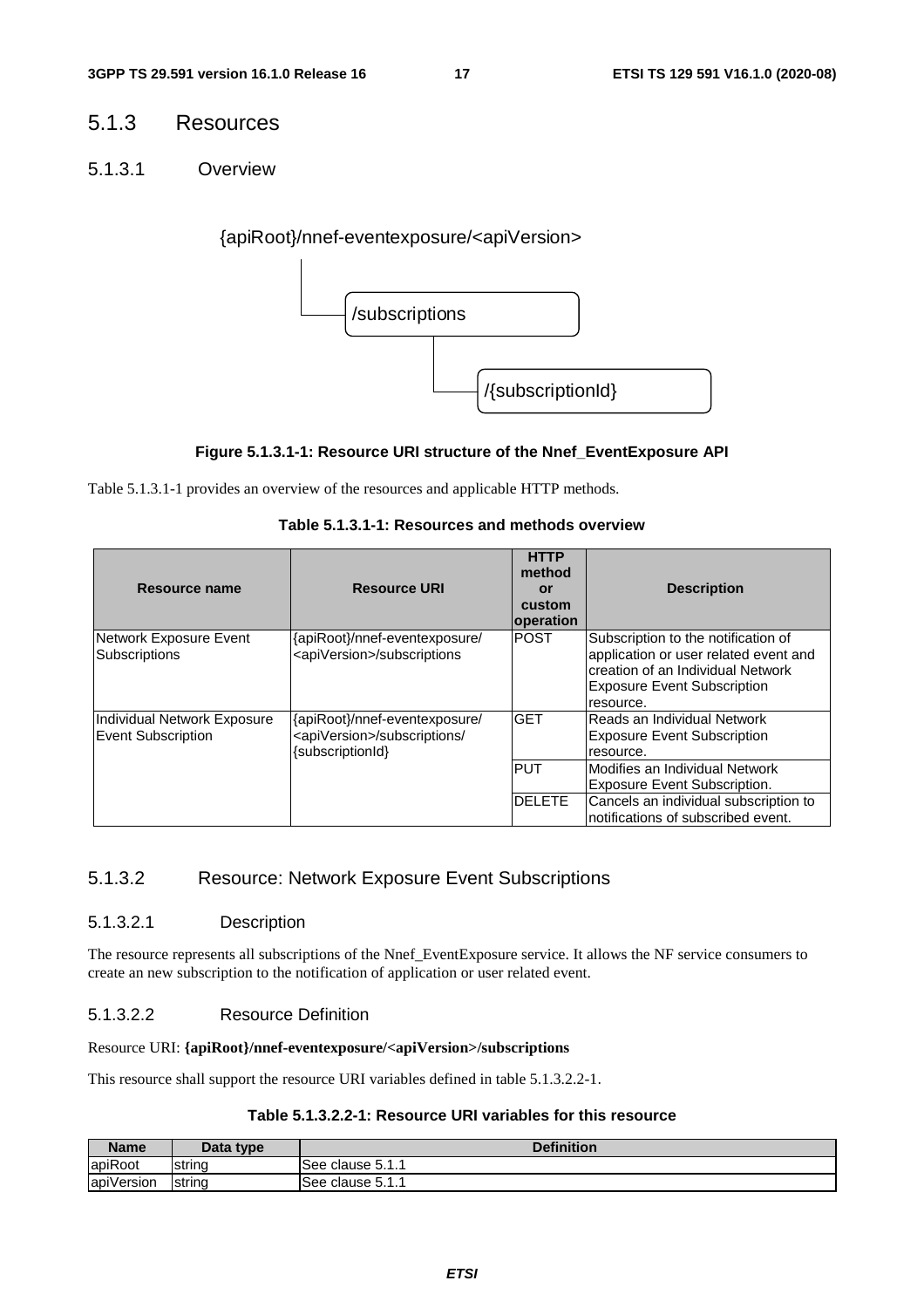# 5.1.3 Resources

5.1.3.1 Overview

{apiRoot}/nnef-eventexposure/<apiVersion>



#### **Figure 5.1.3.1-1: Resource URI structure of the Nnef\_EventExposure API**

Table 5.1.3.1-1 provides an overview of the resources and applicable HTTP methods.

| Table 5.1.3.1-1: Resources and methods overview |  |
|-------------------------------------------------|--|
|-------------------------------------------------|--|

| Resource name                                            | <b>Resource URI</b>                                                                            | <b>HTTP</b><br>method<br>or<br>custom<br>operation | <b>Description</b>                                                                                                                                                   |
|----------------------------------------------------------|------------------------------------------------------------------------------------------------|----------------------------------------------------|----------------------------------------------------------------------------------------------------------------------------------------------------------------------|
| Network Exposure Event<br><b>Subscriptions</b>           | {apiRoot}/nnef-eventexposure/<br><apiversion>/subscriptions</apiversion>                       | <b>POST</b>                                        | Subscription to the notification of<br>application or user related event and<br>creation of an Individual Network<br><b>Exposure Event Subscription</b><br>resource. |
| Individual Network Exposure<br><b>Event Subscription</b> | {apiRoot}/nnef-eventexposure/<br><apiversion>/subscriptions/<br/>{subscriptionId}</apiversion> | <b>GET</b><br><b>PUT</b>                           | Reads an Individual Network<br><b>Exposure Event Subscription</b><br>resource.                                                                                       |
|                                                          |                                                                                                |                                                    | Modifies an Individual Network<br><b>Exposure Event Subscription.</b>                                                                                                |
|                                                          |                                                                                                | <b>DELETE</b>                                      | Cancels an individual subscription to<br>notifications of subscribed event.                                                                                          |

# 5.1.3.2 Resource: Network Exposure Event Subscriptions

#### 5.1.3.2.1 Description

The resource represents all subscriptions of the Nnef\_EventExposure service. It allows the NF service consumers to create an new subscription to the notification of application or user related event.

### 5.1.3.2.2 Resource Definition

#### Resource URI: **{apiRoot}/nnef-eventexposure/<apiVersion>/subscriptions**

This resource shall support the resource URI variables defined in table 5.1.3.2.2-1.

### **Table 5.1.3.2.2-1: Resource URI variables for this resource**

| <b>Name</b> | Data type | <b>Definition</b>       |
|-------------|-----------|-------------------------|
| apiRoot     | string    | · clause 5.1. .<br>See: |
| apiVersion  | string    | See<br>∈clause 5.1.1    |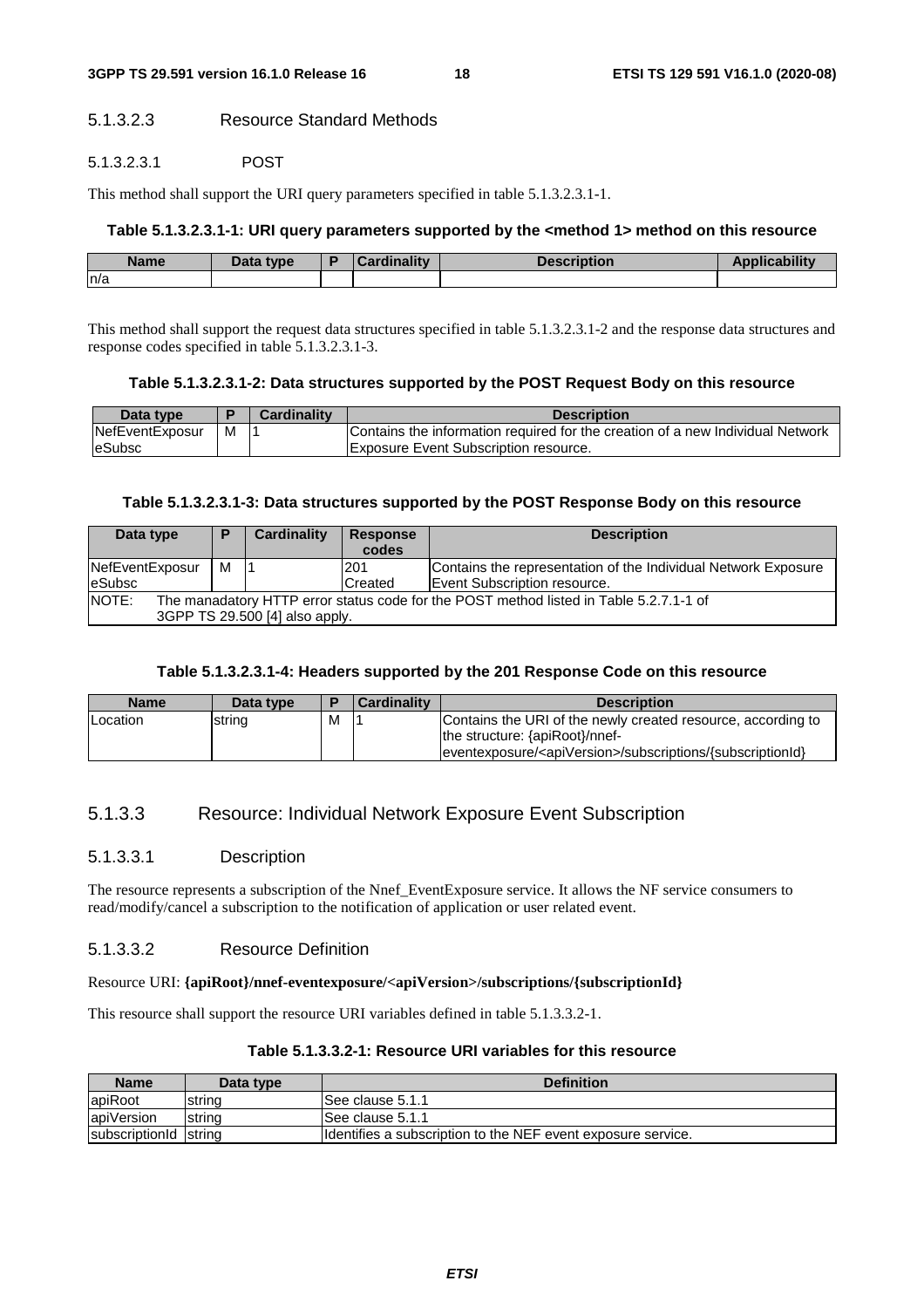# 5.1.3.2.3 Resource Standard Methods

#### 5.1.3.2.3.1 POST

This method shall support the URI query parameters specified in table 5.1.3.2.3.1-1.

#### **Table 5.1.3.2.3.1-1: URI query parameters supported by the <method 1> method on this resource**

| <b>Name</b> | Data tvpe | Cardinality | <b>Cription</b> |  |
|-------------|-----------|-------------|-----------------|--|
| n/a         |           |             |                 |  |

This method shall support the request data structures specified in table 5.1.3.2.3.1-2 and the response data structures and response codes specified in table 5.1.3.2.3.1-3.

#### **Table 5.1.3.2.3.1-2: Data structures supported by the POST Request Body on this resource**

| Data type       |   | Cardinalitv | <b>Description</b>                                                             |
|-----------------|---|-------------|--------------------------------------------------------------------------------|
| NefEventExposur | M |             | Contains the information required for the creation of a new Individual Network |
| leSubsc         |   |             | Exposure Event Subscription resource.                                          |

#### **Table 5.1.3.2.3.1-3: Data structures supported by the POST Response Body on this resource**

| Data type                                                                                                                         | ▬ | Cardinality | <b>Response</b><br>codes | <b>Description</b>                                                                             |  |
|-----------------------------------------------------------------------------------------------------------------------------------|---|-------------|--------------------------|------------------------------------------------------------------------------------------------|--|
| NefEventExposur<br><b>eSubsc</b>                                                                                                  | м |             | 201<br>Created           | Contains the representation of the Individual Network Exposure<br>Event Subscription resource. |  |
| NOTE:<br>The manadatory HTTP error status code for the POST method listed in Table 5.2.7.1-1 of<br>3GPP TS 29.500 [4] also apply. |   |             |                          |                                                                                                |  |

### **Table 5.1.3.2.3.1-4: Headers supported by the 201 Response Code on this resource**

| <b>Name</b> | Data type |   | <b>Cardinality</b> | <b>Description</b>                                                                                                                                                         |
|-------------|-----------|---|--------------------|----------------------------------------------------------------------------------------------------------------------------------------------------------------------------|
| Location    | string    | M |                    | Contains the URI of the newly created resource, according to<br>the structure: {apiRoot}/nnef-<br> eventexposure/ <apiversion>/subscriptions/{subscriptionId}</apiversion> |

# 5.1.3.3 Resource: Individual Network Exposure Event Subscription

### 5.1.3.3.1 Description

The resource represents a subscription of the Nnef\_EventExposure service. It allows the NF service consumers to read/modify/cancel a subscription to the notification of application or user related event.

### 5.1.3.3.2 Resource Definition

#### Resource URI: **{apiRoot}/nnef-eventexposure/<apiVersion>/subscriptions/{subscriptionId}**

This resource shall support the resource URI variables defined in table 5.1.3.3.2-1.

# **Table 5.1.3.3.2-1: Resource URI variables for this resource**

| <b>Name</b>           | Data type      | <b>Definition</b>                                             |
|-----------------------|----------------|---------------------------------------------------------------|
| <b>apiRoot</b>        | Istrina        | See clause 5.1.1                                              |
| apiVersion            | <b>Istring</b> | ISee clause 5.1.1                                             |
| subscriptionId string |                | Ildentifies a subscription to the NEF event exposure service. |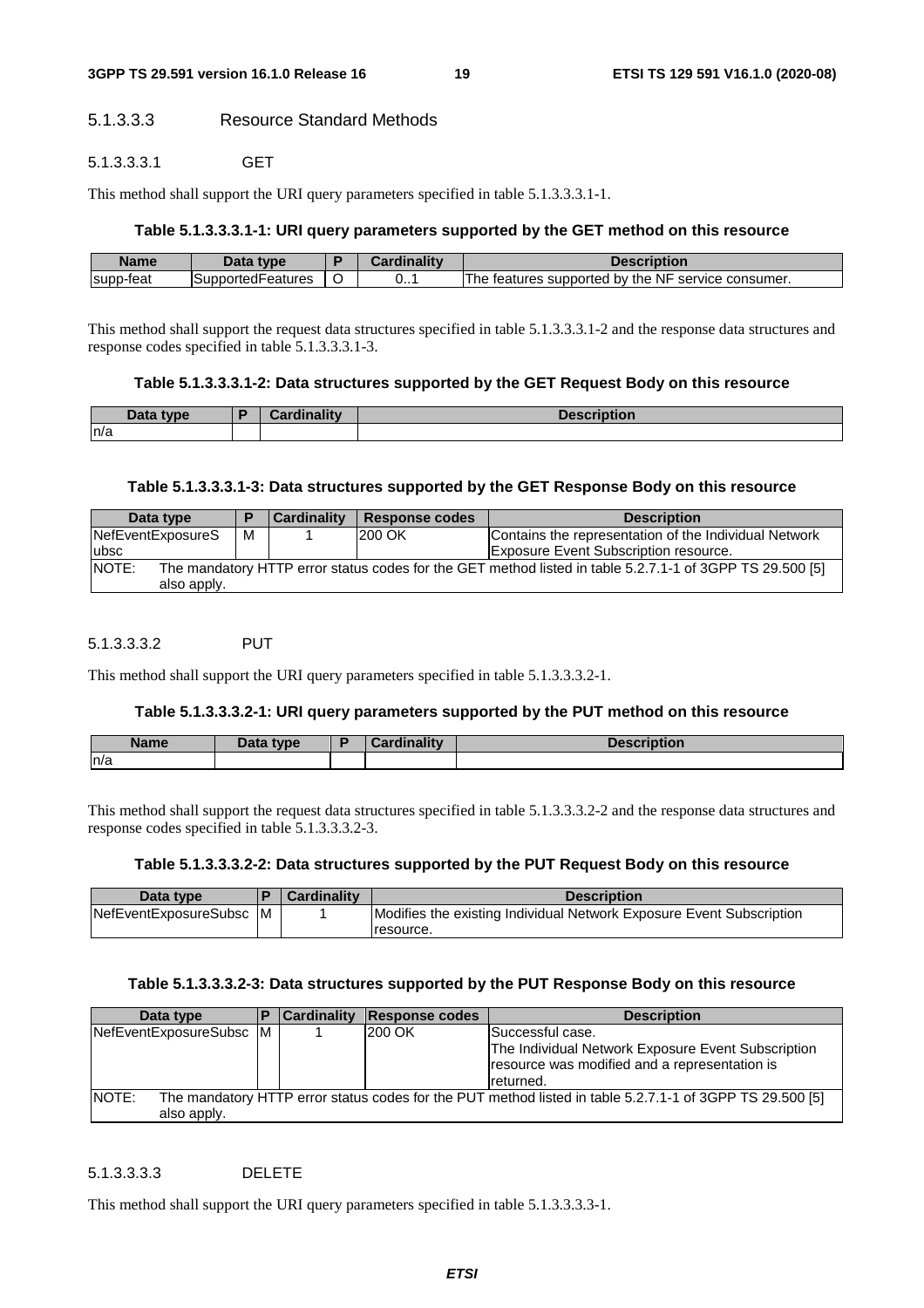### 5.1.3.3.3 Resource Standard Methods

#### 5.1.3.3.3.1 GET

This method shall support the URI query parameters specified in table 5.1.3.3.3.1-1.

### **Table 5.1.3.3.3.1-1: URI query parameters supported by the GET method on this resource**

| Name      | $\mathbf{a}$<br>type                           | n | linality |                                                                       |
|-----------|------------------------------------------------|---|----------|-----------------------------------------------------------------------|
| supp-feat | $\overline{\phantom{0}}$<br>ISupportedFeatures | ີ | ◡…       | <b>NF</b><br>The<br>by the<br>service consumer.<br>teatures supported |

This method shall support the request data structures specified in table 5.1.3.3.3.1-2 and the response data structures and response codes specified in table 5.1.3.3.3.1-3.

#### **Table 5.1.3.3.3.1-2: Data structures supported by the GET Request Body on this resource**

| Data type | Cardinality<br>паш | <b>Description</b> |
|-----------|--------------------|--------------------|
| n/a       |                    |                    |
|           |                    |                    |

### **Table 5.1.3.3.3.1-3: Data structures supported by the GET Response Body on this resource**

| Data type                                                                                                         |   | Cardinality | Response codes | <b>Description</b>                                    |
|-------------------------------------------------------------------------------------------------------------------|---|-------------|----------------|-------------------------------------------------------|
| NefEventExposureS                                                                                                 | м |             | 200 OK         | Contains the representation of the Individual Network |
| ubsc                                                                                                              |   |             |                | <b>Exposure Event Subscription resource.</b>          |
| NOTE:<br>The mandatory HTTP error status codes for the GET method listed in table 5.2.7.1-1 of 3GPP TS 29.500 [5] |   |             |                |                                                       |
| also apply.                                                                                                       |   |             |                |                                                       |

#### 5.1.3.3.3.2 PUT

This method shall support the URI query parameters specified in table 5.1.3.3.3.2-1.

#### **Table 5.1.3.3.3.2-1: URI query parameters supported by the PUT method on this resource**

| <b>Name</b> | Data type<br>Putu | inaliw<br><b>Por</b> | <b>Description</b> |
|-------------|-------------------|----------------------|--------------------|
| n/a         |                   |                      |                    |

This method shall support the request data structures specified in table 5.1.3.3.3.2-2 and the response data structures and response codes specified in table 5.1.3.3.3.2-3.

#### **Table 5.1.3.3.3.2-2: Data structures supported by the PUT Request Body on this resource**

| Data type             |     | <b>Cardinality</b> | <b>Description</b>                                                   |
|-----------------------|-----|--------------------|----------------------------------------------------------------------|
| NefEventExposureSubsc | IM. |                    | Modifies the existing Individual Network Exposure Event Subscription |
|                       |     |                    | resource.                                                            |

#### **Table 5.1.3.3.3.2-3: Data structures supported by the PUT Response Body on this resource**

| Data type               | <b>Cardinality</b> | Response codes | <b>Description</b>                                                                                                                    |
|-------------------------|--------------------|----------------|---------------------------------------------------------------------------------------------------------------------------------------|
| NefEventExposureSubsc M |                    | 200 OK         | Successful case.<br>The Individual Network Exposure Event Subscription<br>resource was modified and a representation is<br>Ireturned. |
| INOTE:<br>also apply.   |                    |                | The mandatory HTTP error status codes for the PUT method listed in table 5.2.7.1-1 of 3GPP TS 29.500 [5]                              |

#### 5.1.3.3.3.3 DELETE

This method shall support the URI query parameters specified in table 5.1.3.3.3.3-1.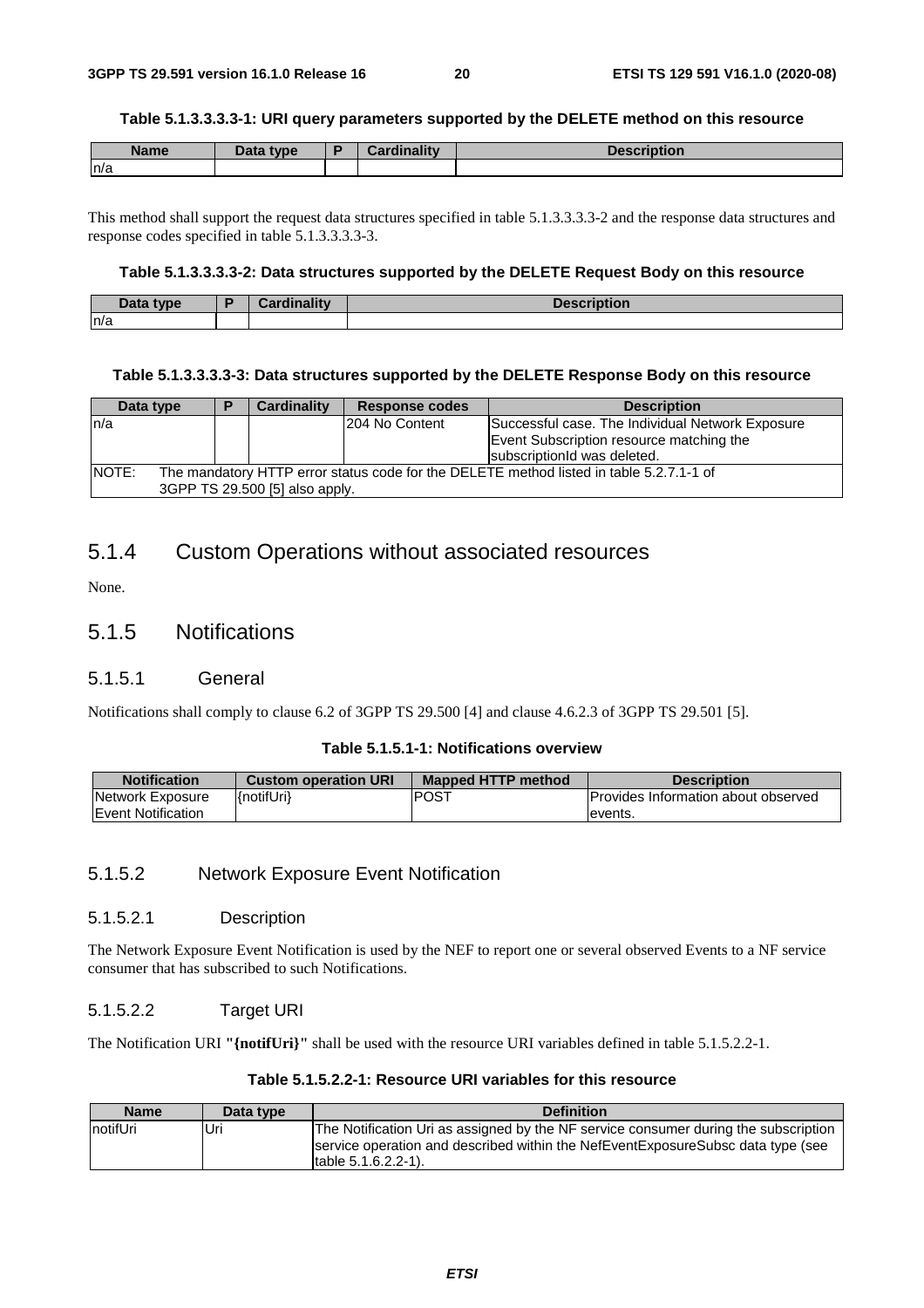#### **Table 5.1.3.3.3.3-1: URI query parameters supported by the DELETE method on this resource**

| <b>Name</b> | Data type | Cardinality<br><b>Cordu</b> | <b>Description</b> |
|-------------|-----------|-----------------------------|--------------------|
| ln/a        |           |                             |                    |

This method shall support the request data structures specified in table 5.1.3.3.3.3-2 and the response data structures and response codes specified in table 5.1.3.3.3.3-3.

#### **Table 5.1.3.3.3.3-2: Data structures supported by the DELETE Request Body on this resource**

| Data type | Cordinality | .<br><b>Description</b> |
|-----------|-------------|-------------------------|
| n/a       |             |                         |

#### **Table 5.1.3.3.3.3-3: Data structures supported by the DELETE Response Body on this resource**

| Data type    |                                                                                         | в | <b>Cardinality</b>             | Response codes | <b>Description</b>                               |  |
|--------------|-----------------------------------------------------------------------------------------|---|--------------------------------|----------------|--------------------------------------------------|--|
| In/a         |                                                                                         |   |                                | 204 No Content | Successful case. The Individual Network Exposure |  |
|              |                                                                                         |   |                                |                | Event Subscription resource matching the         |  |
|              |                                                                                         |   |                                |                | subscriptionId was deleted.                      |  |
| <b>NOTE:</b> | The mandatory HTTP error status code for the DELETE method listed in table 5.2.7.1-1 of |   |                                |                |                                                  |  |
|              |                                                                                         |   | 3GPP TS 29.500 [5] also apply. |                |                                                  |  |

# 5.1.4 Custom Operations without associated resources

None.

# 5.1.5 Notifications

#### 5.1.5.1 General

Notifications shall comply to clause 6.2 of 3GPP TS 29.500 [4] and clause 4.6.2.3 of 3GPP TS 29.501 [5].

#### **Table 5.1.5.1-1: Notifications overview**

| <b>Notification</b>       | <b>Custom operation URI</b> | <b>Mapped HTTP method</b> | <b>Description</b>                          |
|---------------------------|-----------------------------|---------------------------|---------------------------------------------|
| Network Exposure          | {notifUri}                  | IPOST                     | <b>IProvides Information about observed</b> |
| <b>Event Notification</b> |                             |                           | levents.                                    |

#### 5.1.5.2 Network Exposure Event Notification

#### 5.1.5.2.1 Description

The Network Exposure Event Notification is used by the NEF to report one or several observed Events to a NF service consumer that has subscribed to such Notifications.

#### 5.1.5.2.2 Target URI

The Notification URI **"{notifUri}"** shall be used with the resource URI variables defined in table 5.1.5.2.2-1.

#### **Table 5.1.5.2.2-1: Resource URI variables for this resource**

| <b>Name</b> | Data type | <b>Definition</b>                                                                   |
|-------------|-----------|-------------------------------------------------------------------------------------|
| InotifUri   | Uri       | The Notification Uri as assigned by the NF service consumer during the subscription |
|             |           | service operation and described within the NefEventExposureSubsc data type (see     |
|             |           | $[table 5.1.6.2.2-1].$                                                              |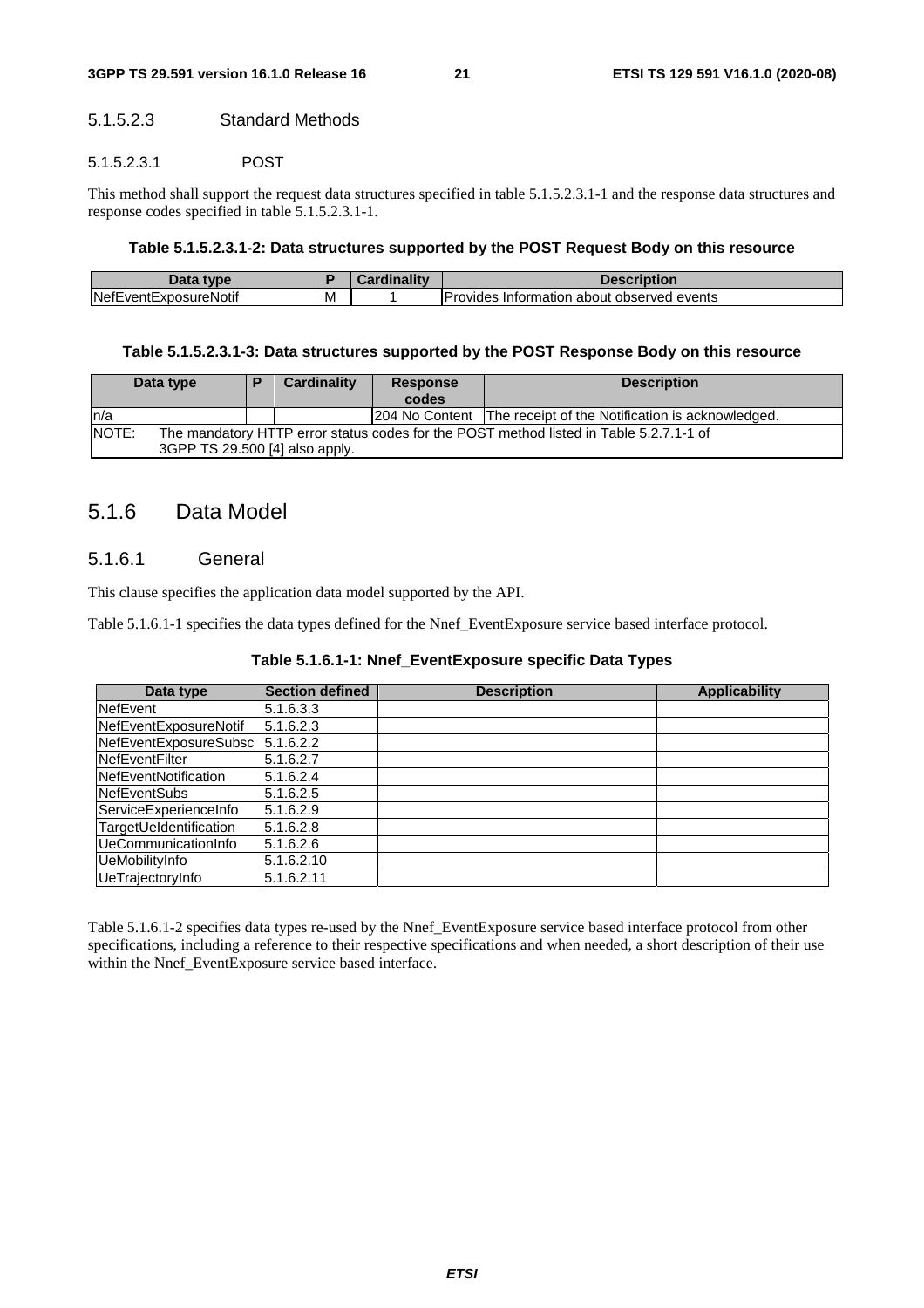### 5.1.5.2.3 Standard Methods

#### 5.1.5.2.3.1 POST

This method shall support the request data structures specified in table 5.1.5.2.3.1-1 and the response data structures and response codes specified in table 5.1.5.2.3.1-1.

#### **Table 5.1.5.2.3.1-2: Data structures supported by the POST Request Body on this resource**

| Data<br>tyne                      |   | <b>BR</b> | Description                                         |
|-----------------------------------|---|-----------|-----------------------------------------------------|
| <b>NefE</b><br>EventExposureNotif | M |           | t observed events∶<br>Provides<br>⊟nformation about |

#### **Table 5.1.5.2.3.1-3: Data structures supported by the POST Response Body on this resource**

| Data type                                                                                       | Е | Cardinality | <b>Response</b><br>codes | <b>Description</b>                                              |
|-------------------------------------------------------------------------------------------------|---|-------------|--------------------------|-----------------------------------------------------------------|
| ln/a                                                                                            |   |             |                          | 204 No Content The receipt of the Notification is acknowledged. |
| NOTE:<br>The mandatory HTTP error status codes for the POST method listed in Table 5.2.7.1-1 of |   |             |                          |                                                                 |
| 3GPP TS 29.500 [4] also apply.                                                                  |   |             |                          |                                                                 |

# 5.1.6 Data Model

#### 5.1.6.1 General

This clause specifies the application data model supported by the API.

Table 5.1.6.1-1 specifies the data types defined for the Nnef\_EventExposure service based interface protocol.

| Table 5.1.6.1-1: Nnef_EventExposure specific Data Types |  |  |  |
|---------------------------------------------------------|--|--|--|
|---------------------------------------------------------|--|--|--|

| Data type              | <b>Section defined</b> | <b>Description</b> | <b>Applicability</b> |
|------------------------|------------------------|--------------------|----------------------|
| <b>NefEvent</b>        | 5.1.6.3.3              |                    |                      |
| NefEventExposureNotif  | 5.1.6.2.3              |                    |                      |
| NefEventExposureSubsc  | 5.1.6.2.2              |                    |                      |
| <b>NefEventFilter</b>  | 5.1.6.2.7              |                    |                      |
| NefEventNotification   | 5.1.6.2.4              |                    |                      |
| <b>NefEventSubs</b>    | 5.1.6.2.5              |                    |                      |
| ServiceExperienceInfo  | 5.1.6.2.9              |                    |                      |
| TargetUeldentification | 5.1.6.2.8              |                    |                      |
| UeCommunicationInfo    | 5.1.6.2.6              |                    |                      |
| UeMobilityInfo         | 5.1.6.2.10             |                    |                      |
| UeTrajectoryInfo       | 5.1.6.2.11             |                    |                      |

Table 5.1.6.1-2 specifies data types re-used by the Nnef\_EventExposure service based interface protocol from other specifications, including a reference to their respective specifications and when needed, a short description of their use within the Nnef\_EventExposure service based interface.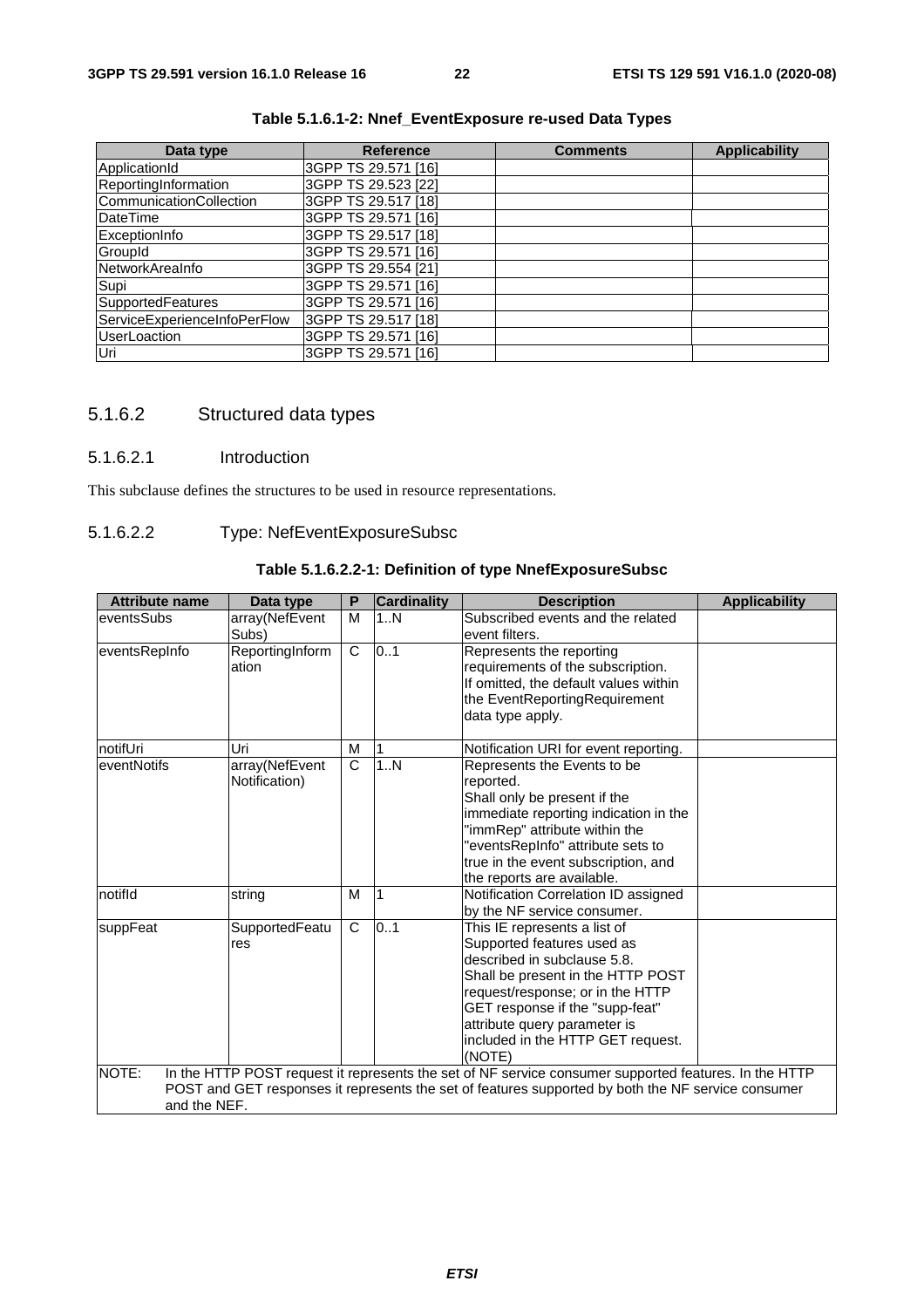| Data type                    | <b>Reference</b>    | <b>Comments</b> | <b>Applicability</b> |
|------------------------------|---------------------|-----------------|----------------------|
| ApplicationId                | 3GPP TS 29.571 [16] |                 |                      |
| ReportingInformation         | 3GPP TS 29.523 [22] |                 |                      |
| CommunicationCollection      | 3GPP TS 29.517 [18] |                 |                      |
| <b>DateTime</b>              | 3GPP TS 29.571 [16] |                 |                      |
| ExceptionInfo                | 3GPP TS 29.517 [18] |                 |                      |
| GroupId                      | 3GPP TS 29.571 [16] |                 |                      |
| NetworkAreaInfo              | 3GPP TS 29.554 [21] |                 |                      |
| Supi                         | 3GPP TS 29.571 [16] |                 |                      |
| <b>SupportedFeatures</b>     | 3GPP TS 29.571 [16] |                 |                      |
| ServiceExperienceInfoPerFlow | 3GPP TS 29.517 [18] |                 |                      |
| <b>UserLoaction</b>          | 3GPP TS 29.571 [16] |                 |                      |
| Uri                          | 3GPP TS 29.571 [16] |                 |                      |

# **Table 5.1.6.1-2: Nnef\_EventExposure re-used Data Types**

# 5.1.6.2 Structured data types

### 5.1.6.2.1 Introduction

This subclause defines the structures to be used in resource representations.

#### 5.1.6.2.2 Type: NefEventExposureSubsc

#### **Table 5.1.6.2.2-1: Definition of type NnefExposureSubsc**

| <b>Attribute name</b> | Data type                       | P            | <b>Cardinality</b> | <b>Description</b>                                                                                                                                                                                                                                                                   | <b>Applicability</b> |  |  |
|-----------------------|---------------------------------|--------------|--------------------|--------------------------------------------------------------------------------------------------------------------------------------------------------------------------------------------------------------------------------------------------------------------------------------|----------------------|--|--|
| eventsSubs            | array(NefEvent<br>Subs)         | M            | 1N                 | Subscribed events and the related<br>event filters.                                                                                                                                                                                                                                  |                      |  |  |
| eventsRepInfo         | ReportingInform<br>ation        | C            | 0.1                | Represents the reporting<br>requirements of the subscription.<br>If omitted, the default values within<br>the EventReportingRequirement<br>data type apply.                                                                                                                          |                      |  |  |
| notifUri              | Uri                             | M            |                    | Notification URI for event reporting.                                                                                                                                                                                                                                                |                      |  |  |
| eventNotifs           | array(NefEvent<br>Notification) | $\mathsf{C}$ | 1N                 | Represents the Events to be<br>reported.<br>Shall only be present if the<br>immediate reporting indication in the<br>"immRep" attribute within the<br>"eventsRepInfo" attribute sets to<br>true in the event subscription, and<br>the reports are available.                         |                      |  |  |
| notifld               | string                          | м            | 1                  | Notification Correlation ID assigned<br>by the NF service consumer.                                                                                                                                                                                                                  |                      |  |  |
| suppFeat              | SupportedFeatu<br>res           | C            | 0.1                | This IE represents a list of<br>Supported features used as<br>described in subclause 5.8.<br>Shall be present in the HTTP POST<br>request/response; or in the HTTP<br>GET response if the "supp-feat"<br>attribute query parameter is<br>included in the HTTP GET request.<br>(NOTE) |                      |  |  |
| NOTE:                 |                                 |              |                    | In the HTTP POST request it represents the set of NF service consumer supported features. In the HTTP<br>POST and GET responses it represents the set of features supported by both the NF service consumer                                                                          |                      |  |  |
| and the NEF.          |                                 |              |                    |                                                                                                                                                                                                                                                                                      |                      |  |  |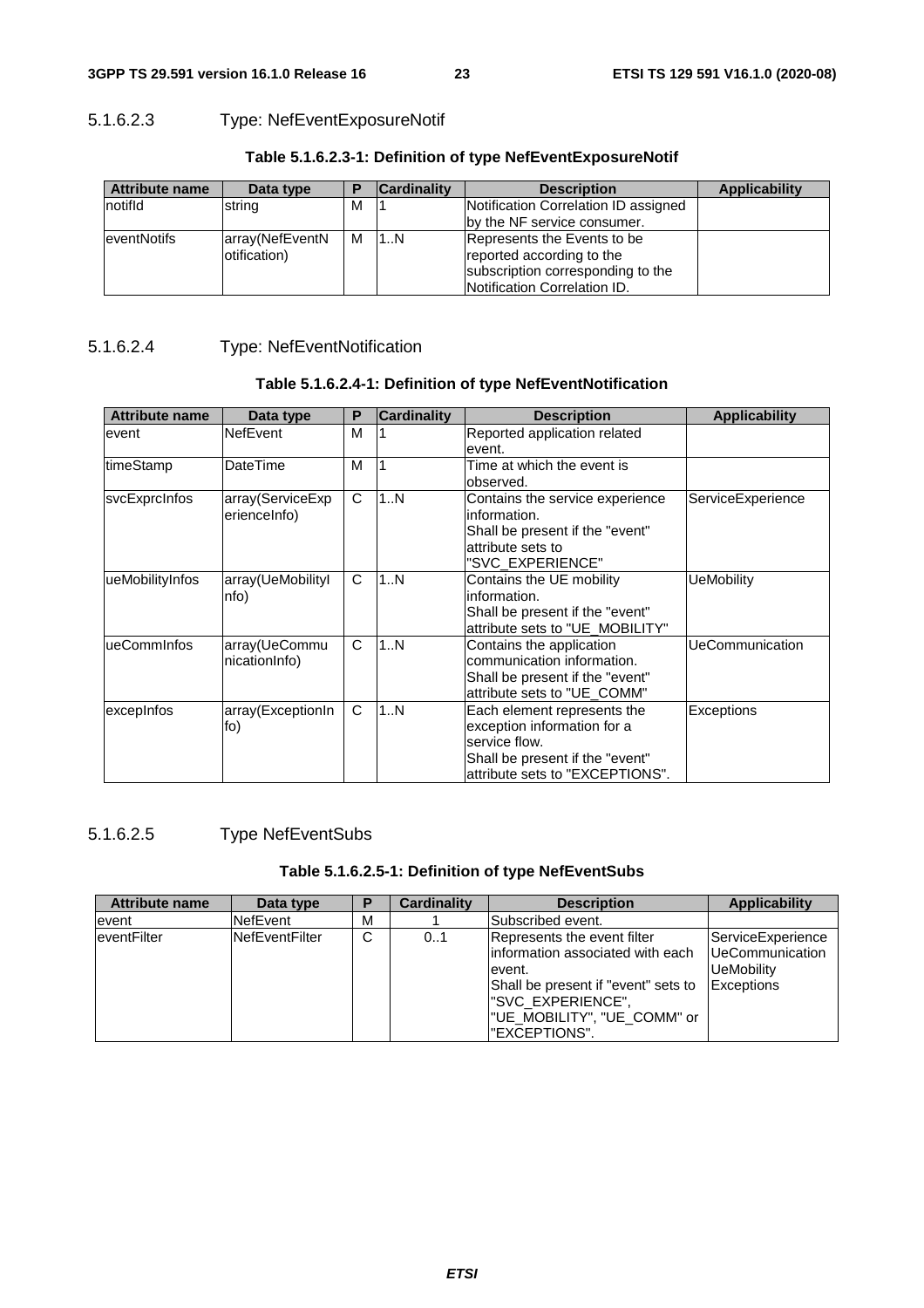# 5.1.6.2.3 Type: NefEventExposureNotif

| <b>Attribute name</b> | Data type                       |   | <b>Cardinality</b> | <b>Description</b>                                                                                                                   | Applicability |
|-----------------------|---------------------------------|---|--------------------|--------------------------------------------------------------------------------------------------------------------------------------|---------------|
| notifid               | string                          | м |                    | Notification Correlation ID assigned<br>by the NF service consumer.                                                                  |               |
| <b>eventNotifs</b>    | array(NefEventN<br>otification) | м | 1N                 | Represents the Events to be<br>reported according to the<br>subscription corresponding to the<br><b>Notification Correlation ID.</b> |               |

# **Table 5.1.6.2.3-1: Definition of type NefEventExposureNotif**

# 5.1.6.2.4 Type: NefEventNotification

| <b>Attribute name</b> | Data type         | P | <b>Cardinality</b> | <b>Description</b>              | <b>Applicability</b> |
|-----------------------|-------------------|---|--------------------|---------------------------------|----------------------|
| event                 | <b>NefEvent</b>   | M |                    | Reported application related    |                      |
|                       |                   |   |                    | event.                          |                      |
| timeStamp             | DateTime          | M |                    | Time at which the event is      |                      |
|                       |                   |   |                    | lobserved.                      |                      |
| svcExprcInfos         | array(ServiceExp  | C | 1N                 | Contains the service experience | ServiceExperience    |
|                       | erienceInfo)      |   |                    | information.                    |                      |
|                       |                   |   |                    | Shall be present if the "event" |                      |
|                       |                   |   |                    | attribute sets to               |                      |
|                       |                   |   |                    | "SVC EXPERIENCE"                |                      |
| ueMobilityInfos       | array(UeMobilityl | C | 1N                 | Contains the UE mobility        | <b>UeMobility</b>    |
|                       | nfo)              |   |                    | information.                    |                      |
|                       |                   |   |                    | Shall be present if the "event" |                      |
|                       |                   |   |                    | attribute sets to "UE_MOBILITY" |                      |
| ueCommInfos           | array(UeCommu     | C | 1N                 | Contains the application        | UeCommunication      |
|                       | nicationInfo)     |   |                    | communication information.      |                      |
|                       |                   |   |                    | Shall be present if the "event" |                      |
|                       |                   |   |                    | attribute sets to "UE_COMM"     |                      |
| excepInfos            | array(ExceptionIn | C | 1N                 | Each element represents the     | Exceptions           |
|                       | fo)               |   |                    | exception information for a     |                      |
|                       |                   |   |                    | service flow.                   |                      |
|                       |                   |   |                    | Shall be present if the "event" |                      |
|                       |                   |   |                    | attribute sets to "EXCEPTIONS". |                      |

# 5.1.6.2.5 Type NefEventSubs

# **Table 5.1.6.2.5-1: Definition of type NefEventSubs**

| <b>Attribute name</b> | Data type             | ь | <b>Cardinality</b> | <b>Description</b>                                                                                                                                                                        | <b>Applicability</b>                                                                   |
|-----------------------|-----------------------|---|--------------------|-------------------------------------------------------------------------------------------------------------------------------------------------------------------------------------------|----------------------------------------------------------------------------------------|
| event                 | <b>NefEvent</b>       | М |                    | <b>Subscribed event.</b>                                                                                                                                                                  |                                                                                        |
| eventFilter           | <b>NefEventFilter</b> | C | 0.1                | Represents the event filter<br>linformation associated with each<br>event.<br>Shall be present if "event" sets to<br>l"SVC EXPERIENCE",<br>I"UE MOBILITY", "UE COMM" or<br>l"EXCEPTIONS". | ServiceExperience<br><b>IUeCommunication</b><br><b>UeMobility</b><br><b>Exceptions</b> |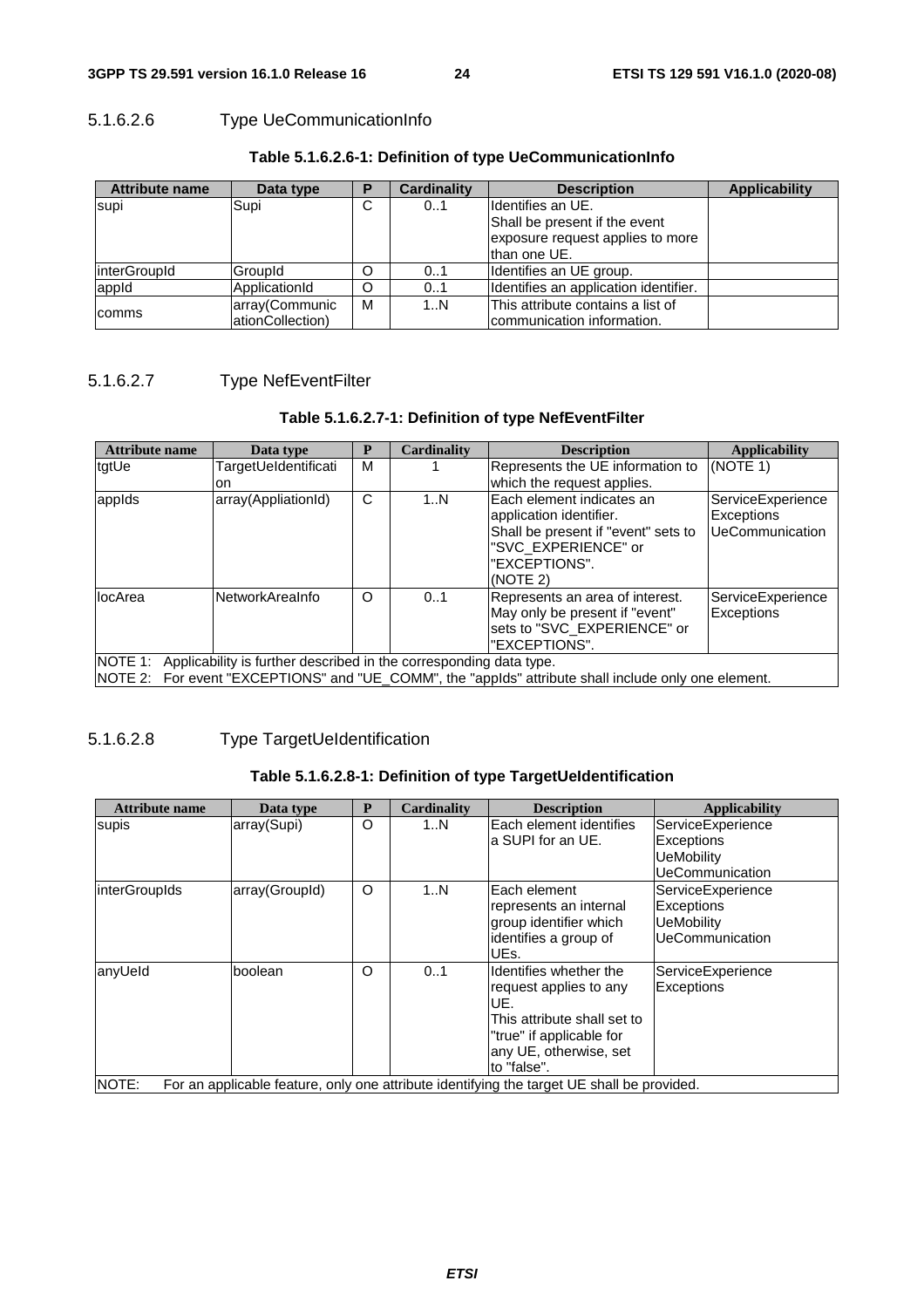# 5.1.6.2.6 Type UeCommunicationInfo

| <b>Attribute name</b> | Data type         | D | <b>Cardinality</b> | <b>Description</b>                    | <b>Applicability</b> |
|-----------------------|-------------------|---|--------------------|---------------------------------------|----------------------|
| supi                  | Supi              | C | 0.1                | Ildentifies an UE.                    |                      |
|                       |                   |   |                    | Shall be present if the event         |                      |
|                       |                   |   |                    | exposure request applies to more      |                      |
|                       |                   |   |                    | than one UE.                          |                      |
| <i>interGroupId</i>   | GroupId           | Ω | 01                 | Identifies an UE group.               |                      |
| appid                 | ApplicationId     | O | 0.1                | Identifies an application identifier. |                      |
|                       | array(Communic    | м | 1N                 | This attribute contains a list of     |                      |
| comms                 | lationCollection) |   |                    | Icommunication information.           |                      |

#### **Table 5.1.6.2.6-1: Definition of type UeCommunicationInfo**

# 5.1.6.2.7 Type NefEventFilter

#### **Table 5.1.6.2.7-1: Definition of type NefEventFilter**

| Attribute name | Data type                                                          |   | Cardinality | <b>Description</b>                                                                                   | <b>Applicability</b> |
|----------------|--------------------------------------------------------------------|---|-------------|------------------------------------------------------------------------------------------------------|----------------------|
| tatUe          | TargetUeIdentificati                                               | м |             | Represents the UE information to                                                                     | (NOTE 1)             |
|                | lon.                                                               |   |             | which the request applies.                                                                           |                      |
| appids         | array(AppliationId)                                                | C | 1N          | Each element indicates an                                                                            | ServiceExperience    |
|                |                                                                    |   |             | application identifier.                                                                              | Exceptions           |
|                |                                                                    |   |             | Shall be present if "event" sets to                                                                  | UeCommunication      |
|                |                                                                    |   |             | "SVC EXPERIENCE" or                                                                                  |                      |
|                |                                                                    |   |             | "EXCEPTIONS".                                                                                        |                      |
|                |                                                                    |   |             | (NOTE 2)                                                                                             |                      |
| locArea        | <b>NetworkAreaInfo</b>                                             | O | 0.1         | Represents an area of interest.                                                                      | ServiceExperience    |
|                |                                                                    |   |             | May only be present if "event"                                                                       | Exceptions           |
|                |                                                                    |   |             | sets to "SVC EXPERIENCE" or                                                                          |                      |
|                |                                                                    |   |             | "EXCEPTIONS".                                                                                        |                      |
| NOTE 1:        | Applicability is further described in the corresponding data type. |   |             |                                                                                                      |                      |
|                |                                                                    |   |             | NOTE 2: For event "EXCEPTIONS" and "UE_COMM", the "applds" attribute shall include only one element. |                      |

# 5.1.6.2.8 Type TargetUeIdentification

#### **Table 5.1.6.2.8-1: Definition of type TargetUeIdentification**

| <b>Attribute name</b> | Data type      | P | Cardinality | <b>Description</b>                                                                         | <b>Applicability</b>   |
|-----------------------|----------------|---|-------------|--------------------------------------------------------------------------------------------|------------------------|
| supis                 | array(Supi)    | O | 1N          | Each element identifies                                                                    | ServiceExperience      |
|                       |                |   |             | a SUPI for an UE.                                                                          | Exceptions             |
|                       |                |   |             |                                                                                            | <b>UeMobility</b>      |
|                       |                |   |             |                                                                                            | UeCommunication        |
| interGroupIds         | array(GroupId) | O | 1N          | Each element                                                                               | ServiceExperience      |
|                       |                |   |             | represents an internal                                                                     | Exceptions             |
|                       |                |   |             | group identifier which                                                                     | <b>UeMobility</b>      |
|                       |                |   |             | identifies a group of                                                                      | <b>UeCommunication</b> |
|                       |                |   |             | UEs.                                                                                       |                        |
| lanyUeld              | boolean        | O | 01          | Identifies whether the                                                                     | ServiceExperience      |
|                       |                |   |             | request applies to any                                                                     | Exceptions             |
|                       |                |   |             | UE.                                                                                        |                        |
|                       |                |   |             | This attribute shall set to                                                                |                        |
|                       |                |   |             | "true" if applicable for                                                                   |                        |
|                       |                |   |             | any UE, otherwise, set                                                                     |                        |
|                       |                |   |             | to "false".                                                                                |                        |
| NOTE:                 |                |   |             | For an applicable feature, only one attribute identifying the target UE shall be provided. |                        |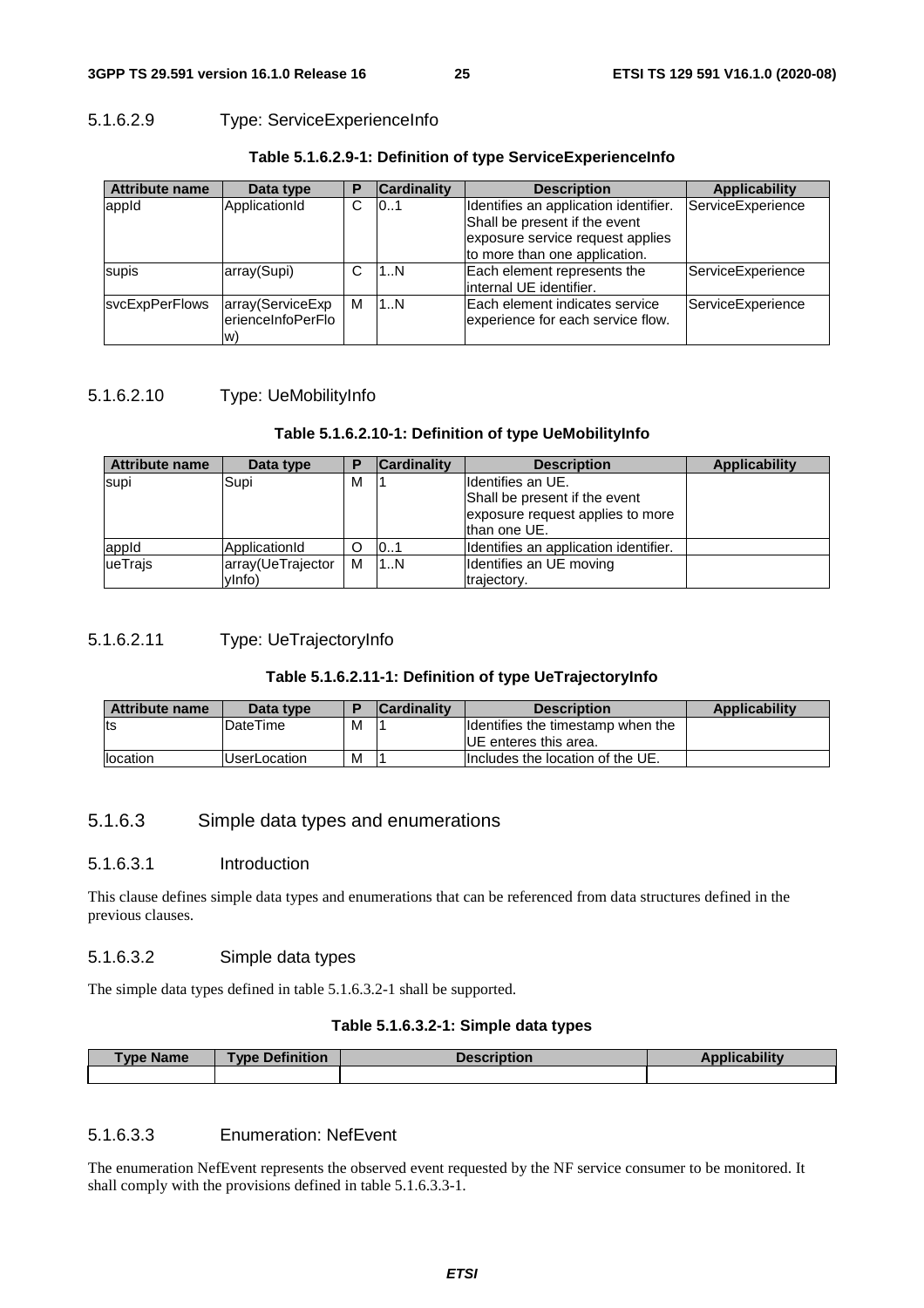# 5.1.6.2.9 Type: ServiceExperienceInfo

| <b>Attribute name</b> | Data type                                   | P | <b>Cardinality</b> | <b>Description</b>                                                                                                                          | <b>Applicability</b> |
|-----------------------|---------------------------------------------|---|--------------------|---------------------------------------------------------------------------------------------------------------------------------------------|----------------------|
| appid                 | ApplicationId                               | C | 10.1               | Identifies an application identifier.<br>Shall be present if the event<br>exposure service request applies<br>to more than one application. | ServiceExperience    |
| supis                 | array(Supi)                                 | C | 1N                 | Each element represents the<br>linternal UE identifier.                                                                                     | ServiceExperience    |
| <b>svcExpPerFlows</b> | array(ServiceExp<br>erienceInfoPerFlo<br>W) | м | 1N                 | IEach element indicates service<br>experience for each service flow.                                                                        | ServiceExperience    |

# **Table 5.1.6.2.9-1: Definition of type ServiceExperienceInfo**

# 5.1.6.2.10 Type: UeMobilityInfo

### **Table 5.1.6.2.10-1: Definition of type UeMobilityInfo**

| <b>Attribute name</b> | Data type                   |   | <b>Cardinality</b> | <b>Description</b>                                                                                      | <b>Applicability</b> |
|-----------------------|-----------------------------|---|--------------------|---------------------------------------------------------------------------------------------------------|----------------------|
| supi                  | Supi                        | м |                    | Ildentifies an UE.<br>Shall be present if the event<br>exposure request applies to more<br>than one UE. |                      |
| appid                 | ApplicationId               | O | 101                | Identifies an application identifier.                                                                   |                      |
| ueTrajs               | array(UeTrajector<br>vlnfo) | м | 1N                 | Identifies an UE moving<br>trajectory.                                                                  |                      |

### 5.1.6.2.11 Type: UeTrajectoryInfo

### **Table 5.1.6.2.11-1: Definition of type UeTrajectoryInfo**

| <b>Attribute name</b> | Data type           |   | <b>Cardinality</b> | <b>Description</b>                | Applicability |
|-----------------------|---------------------|---|--------------------|-----------------------------------|---------------|
| lts                   | DateTime            | М |                    | Identifies the timestamp when the |               |
|                       |                     |   |                    | <b>IUE</b> enteres this area.     |               |
| <b>Ilocation</b>      | <b>UserLocation</b> | М |                    | Includes the location of the UE.  |               |

# 5.1.6.3 Simple data types and enumerations

### 5.1.6.3.1 Introduction

This clause defines simple data types and enumerations that can be referenced from data structures defined in the previous clauses.

# 5.1.6.3.2 Simple data types

The simple data types defined in table 5.1.6.3.2-1 shall be supported.

### **Table 5.1.6.3.2-1: Simple data types**

| ⊺vpe l<br><b>Name</b> | ↑ Definition<br>Type | 1011 |  |
|-----------------------|----------------------|------|--|
|                       |                      |      |  |

# 5.1.6.3.3 Enumeration: NefEvent

The enumeration NefEvent represents the observed event requested by the NF service consumer to be monitored. It shall comply with the provisions defined in table 5.1.6.3.3-1.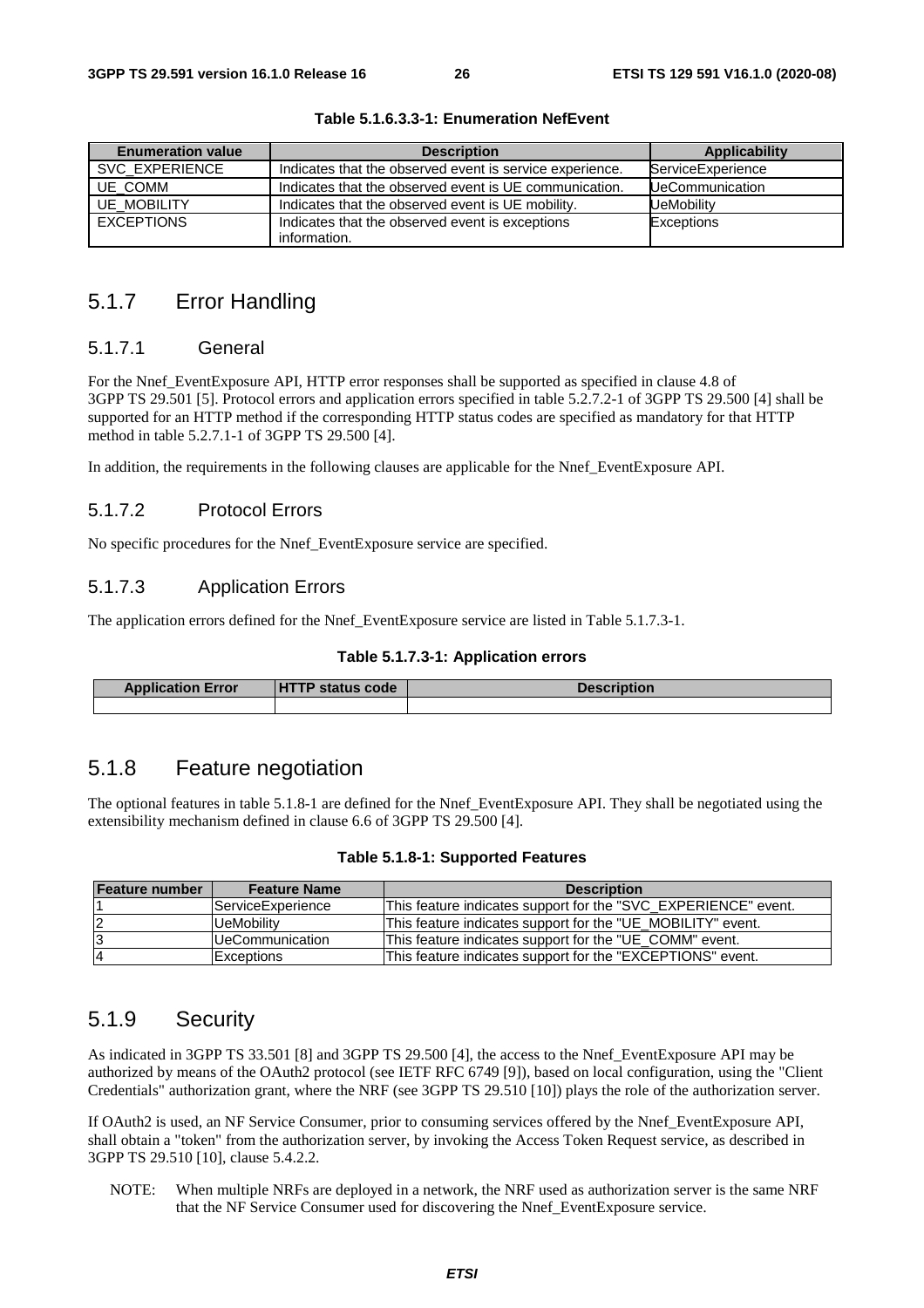| <b>Enumeration value</b> | <b>Description</b>                                       | Applicability          |
|--------------------------|----------------------------------------------------------|------------------------|
| SVC EXPERIENCE           | Indicates that the observed event is service experience. | ServiceExperience      |
| UE COMM                  | Indicates that the observed event is UE communication.   | <b>UeCommunication</b> |
| <b>UE MOBILITY</b>       | Indicates that the observed event is UE mobility.        | UeMobilitv             |
| <b>EXCEPTIONS</b>        | Indicates that the observed event is exceptions          | Exceptions             |
|                          | information.                                             |                        |

**Table 5.1.6.3.3-1: Enumeration NefEvent** 

# 5.1.7 Error Handling

#### 5.1.7.1 General

For the Nnef\_EventExposure API, HTTP error responses shall be supported as specified in clause 4.8 of 3GPP TS 29.501 [5]. Protocol errors and application errors specified in table 5.2.7.2-1 of 3GPP TS 29.500 [4] shall be supported for an HTTP method if the corresponding HTTP status codes are specified as mandatory for that HTTP method in table 5.2.7.1-1 of 3GPP TS 29.500 [4].

In addition, the requirements in the following clauses are applicable for the Nnef\_EventExposure API.

#### 5.1.7.2 Protocol Errors

No specific procedures for the Nnef\_EventExposure service are specified.

#### 5.1.7.3 Application Errors

The application errors defined for the Nnef\_EventExposure service are listed in Table 5.1.7.3-1.

#### **Table 5.1.7.3-1: Application errors**

| <b>Application Error</b> | <b>HTTP status code</b> | <b>Description</b> |
|--------------------------|-------------------------|--------------------|
|                          |                         |                    |

# 5.1.8 Feature negotiation

The optional features in table 5.1.8-1 are defined for the Nnef\_EventExposure API. They shall be negotiated using the extensibility mechanism defined in clause 6.6 of 3GPP TS 29.500 [4].

| Table 5.1.8-1: Supported Features |  |  |  |
|-----------------------------------|--|--|--|
|-----------------------------------|--|--|--|

| Feature number | <b>Feature Name</b>      | <b>Description</b>                                             |
|----------------|--------------------------|----------------------------------------------------------------|
|                | <b>ServiceExperience</b> | This feature indicates support for the "SVC EXPERIENCE" event. |
| 12             | UeMobility               | This feature indicates support for the "UE MOBILITY" event.    |
| 13             | IUeCommunication         | This feature indicates support for the "UE COMM" event.        |
| 14             | <b>Exceptions</b>        | This feature indicates support for the "EXCEPTIONS" event.     |

# 5.1.9 Security

As indicated in 3GPP TS 33.501 [8] and 3GPP TS 29.500 [4], the access to the Nnef\_EventExposure API may be authorized by means of the OAuth2 protocol (see IETF RFC 6749 [9]), based on local configuration, using the "Client Credentials" authorization grant, where the NRF (see 3GPP TS 29.510 [10]) plays the role of the authorization server.

If OAuth2 is used, an NF Service Consumer, prior to consuming services offered by the Nnef\_EventExposure API, shall obtain a "token" from the authorization server, by invoking the Access Token Request service, as described in 3GPP TS 29.510 [10], clause 5.4.2.2.

NOTE: When multiple NRFs are deployed in a network, the NRF used as authorization server is the same NRF that the NF Service Consumer used for discovering the Nnef\_EventExposure service.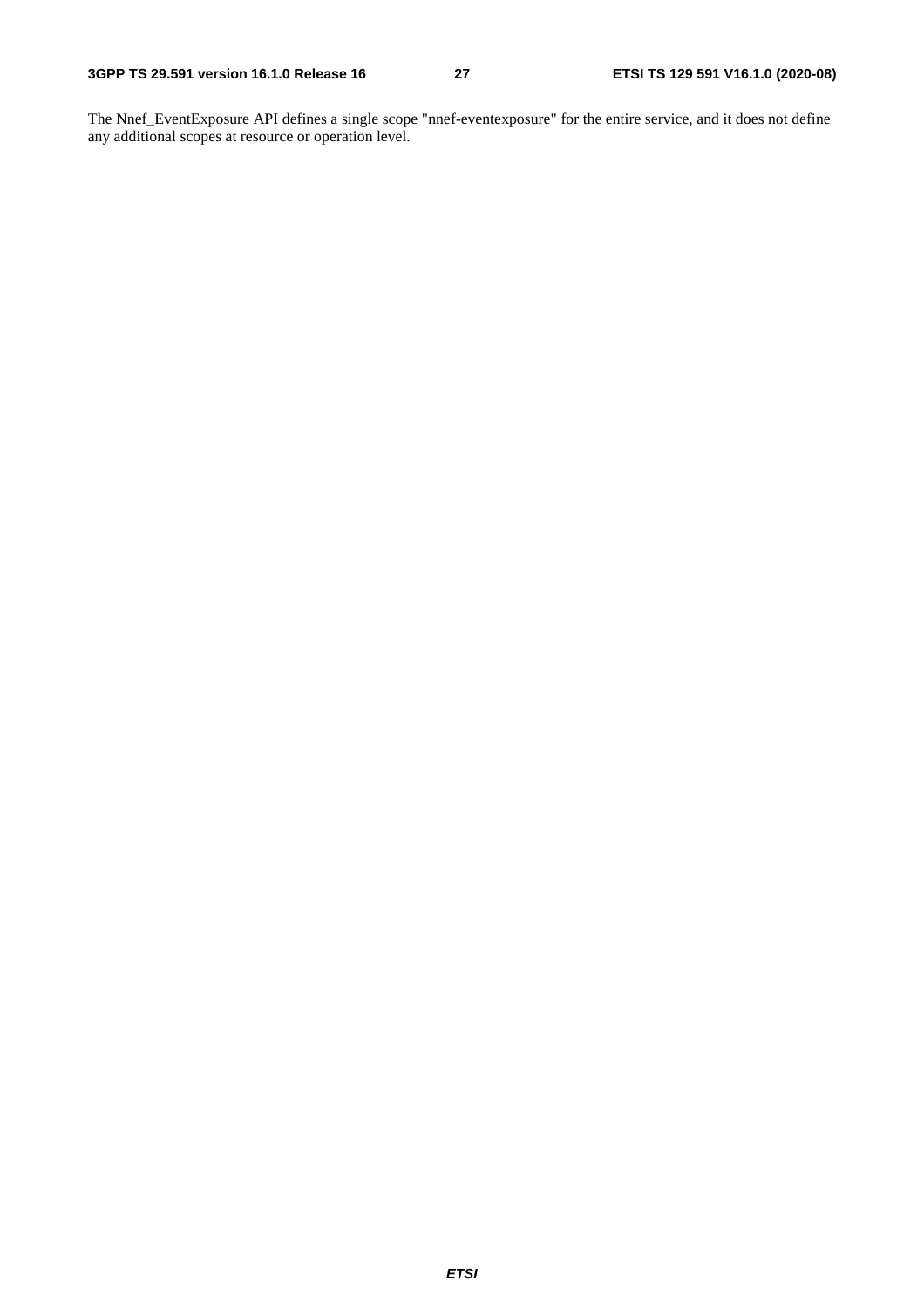The Nnef\_EventExposure API defines a single scope "nnef-eventexposure" for the entire service, and it does not define any additional scopes at resource or operation level.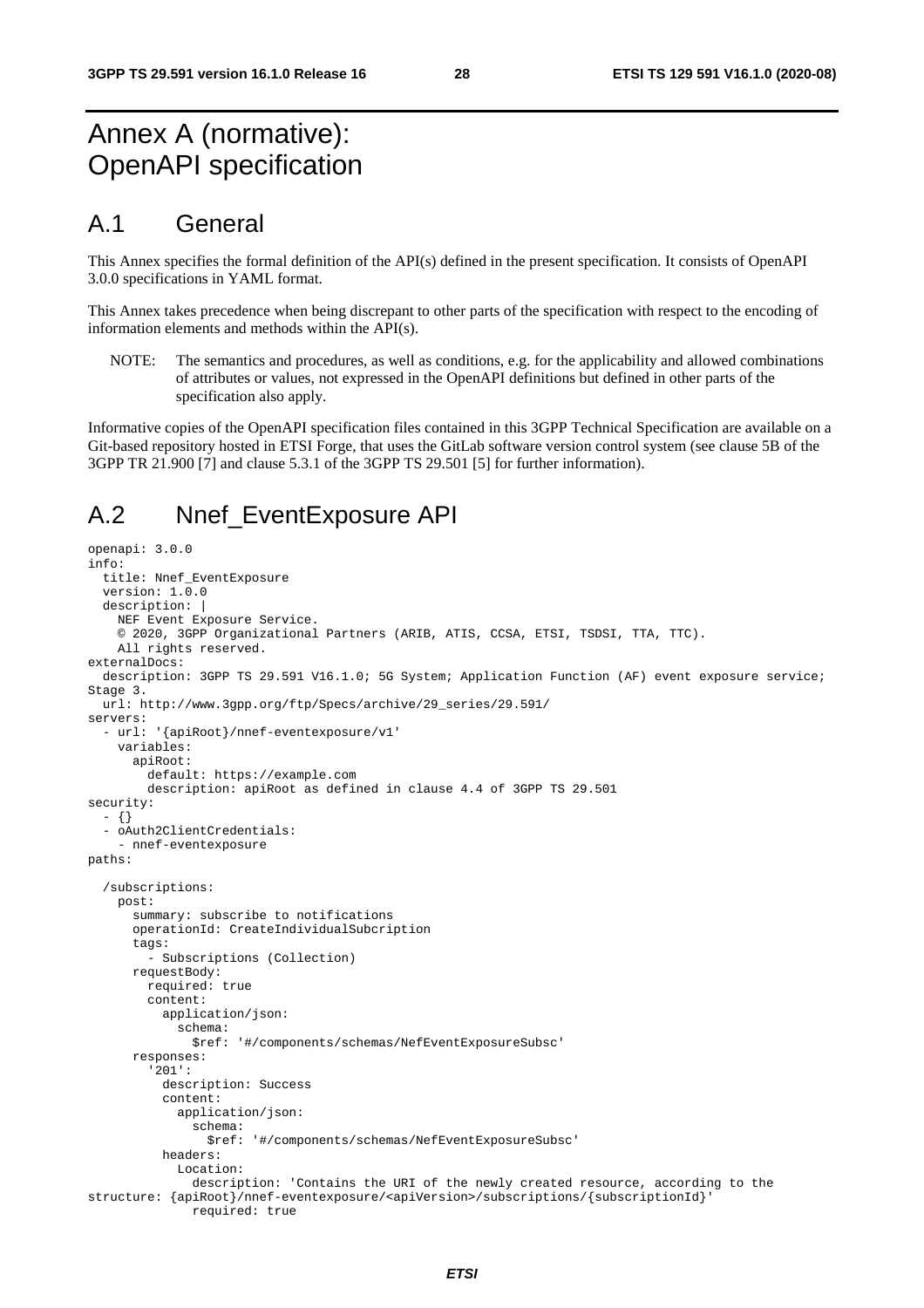# Annex A (normative): OpenAPI specification

# A.1 General

This Annex specifies the formal definition of the API(s) defined in the present specification. It consists of OpenAPI 3.0.0 specifications in YAML format.

This Annex takes precedence when being discrepant to other parts of the specification with respect to the encoding of information elements and methods within the API(s).

NOTE: The semantics and procedures, as well as conditions, e.g. for the applicability and allowed combinations of attributes or values, not expressed in the OpenAPI definitions but defined in other parts of the specification also apply.

Informative copies of the OpenAPI specification files contained in this 3GPP Technical Specification are available on a Git-based repository hosted in ETSI Forge, that uses the GitLab software version control system (see clause 5B of the 3GPP TR 21.900 [7] and clause 5.3.1 of the 3GPP TS 29.501 [5] for further information).

# A.2 Nnef EventExposure API

```
openapi: 3.0.0 
info: 
   title: Nnef_EventExposure 
   version: 1.0.0 
   description: | 
     NEF Event Exposure Service. 
     © 2020, 3GPP Organizational Partners (ARIB, ATIS, CCSA, ETSI, TSDSI, TTA, TTC). 
     All rights reserved. 
externalDocs: 
   description: 3GPP TS 29.591 V16.1.0; 5G System; Application Function (AF) event exposure service; 
Stage 3. 
   url: http://www.3gpp.org/ftp/Specs/archive/29_series/29.591/ 
servers: 
   - url: '{apiRoot}/nnef-eventexposure/v1' 
    variables: 
       apiRoot: 
         default: https://example.com 
         description: apiRoot as defined in clause 4.4 of 3GPP TS 29.501 
security: 
   - {} 
   - oAuth2ClientCredentials: 
     - nnef-eventexposure 
paths: 
   /subscriptions: 
     post: 
       summary: subscribe to notifications 
       operationId: CreateIndividualSubcription 
       tags: 
          - Subscriptions (Collection) 
       requestBody: 
         required: true 
         content: 
            application/json: 
              schema: 
               $ref: '#/components/schemas/NefEventExposureSubsc' 
       responses: 
          '201': 
           description: Success 
            content: 
              application/json: 
                schema: 
                  $ref: '#/components/schemas/NefEventExposureSubsc' 
           headers: 
              Location: 
                description: 'Contains the URI of the newly created resource, according to the 
structure: {apiRoot}/nnef-eventexposure/<apiVersion>/subscriptions/{subscriptionId}' 
                required: true
```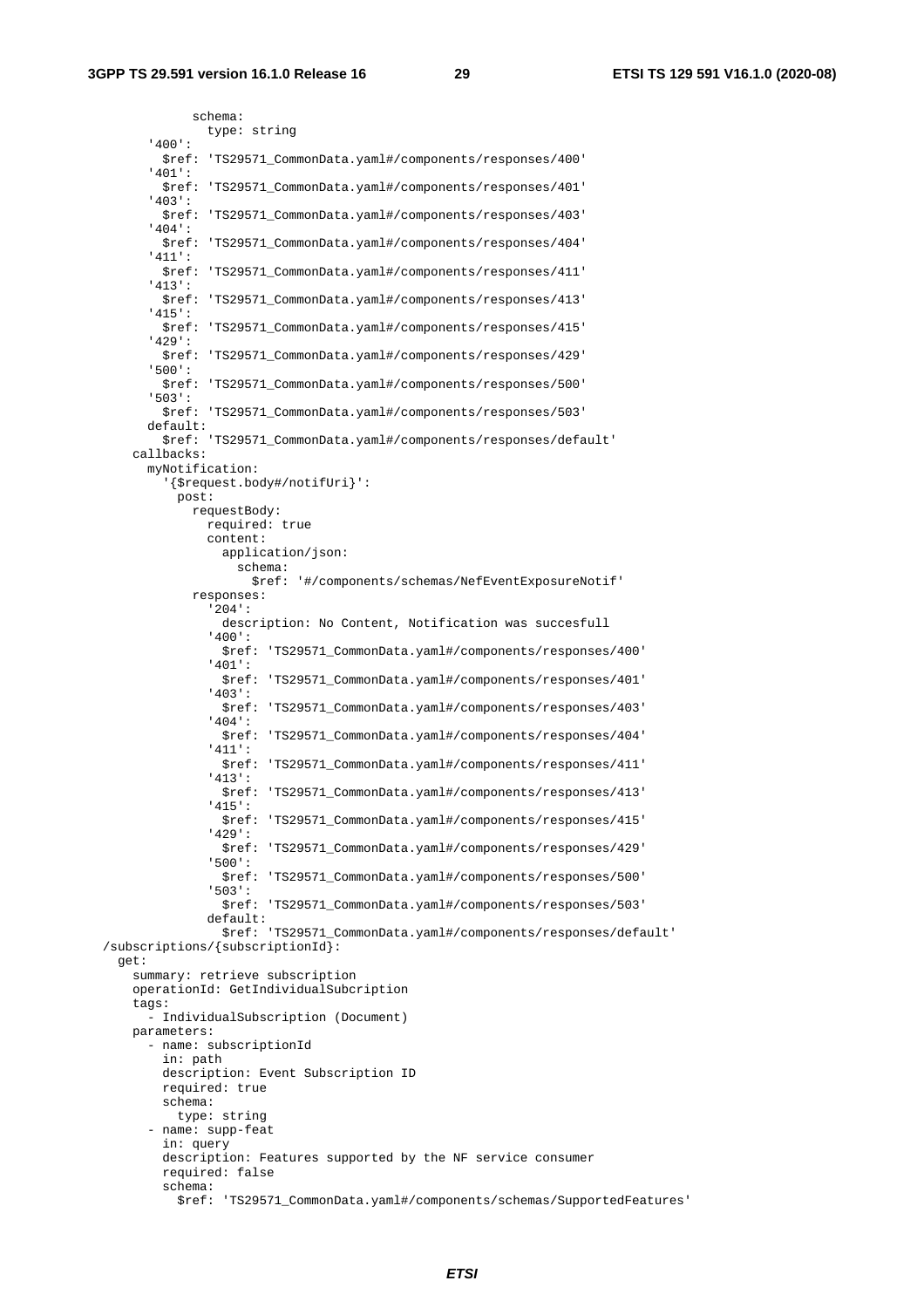schema: type: string '400': \$ref: 'TS29571\_CommonData.yaml#/components/responses/400' '401': \$ref: 'TS29571\_CommonData.yaml#/components/responses/401' '403': \$ref: 'TS29571\_CommonData.yaml#/components/responses/403' '404': \$ref: 'TS29571\_CommonData.yaml#/components/responses/404' '411': \$ref: 'TS29571\_CommonData.yaml#/components/responses/411' '413': \$ref: 'TS29571\_CommonData.yaml#/components/responses/413' '415': \$ref: 'TS29571\_CommonData.yaml#/components/responses/415' '429': \$ref: 'TS29571\_CommonData.yaml#/components/responses/429' '500': \$ref: 'TS29571\_CommonData.yaml#/components/responses/500' '503': \$ref: 'TS29571\_CommonData.yaml#/components/responses/503' default: \$ref: 'TS29571\_CommonData.yaml#/components/responses/default' callbacks: myNotification: '{\$request.body#/notifUri}': post: requestBody: required: true content: application/json: schema: \$ref: '#/components/schemas/NefEventExposureNotif' responses: '204': description: No Content, Notification was succesfull '400': \$ref: 'TS29571\_CommonData.yaml#/components/responses/400' '401': \$ref: 'TS29571\_CommonData.yaml#/components/responses/401' '403': \$ref: 'TS29571\_CommonData.yaml#/components/responses/403' '404': \$ref: 'TS29571\_CommonData.yaml#/components/responses/404' '411': \$ref: 'TS29571\_CommonData.yaml#/components/responses/411' '413': \$ref: 'TS29571\_CommonData.yaml#/components/responses/413' '415': \$ref: 'TS29571\_CommonData.yaml#/components/responses/415' '429': \$ref: 'TS29571\_CommonData.yaml#/components/responses/429' '500': \$ref: 'TS29571\_CommonData.yaml#/components/responses/500' '503': \$ref: 'TS29571\_CommonData.yaml#/components/responses/503' default: \$ref: 'TS29571\_CommonData.yaml#/components/responses/default' /subscriptions/{subscriptionId}: get: summary: retrieve subscription operationId: GetIndividualSubcription tags: - IndividualSubscription (Document) parameters: - name: subscriptionId in: path description: Event Subscription ID required: true schema: type: string - name: supp-feat in: query description: Features supported by the NF service consumer required: false schema: \$ref: 'TS29571\_CommonData.yaml#/components/schemas/SupportedFeatures'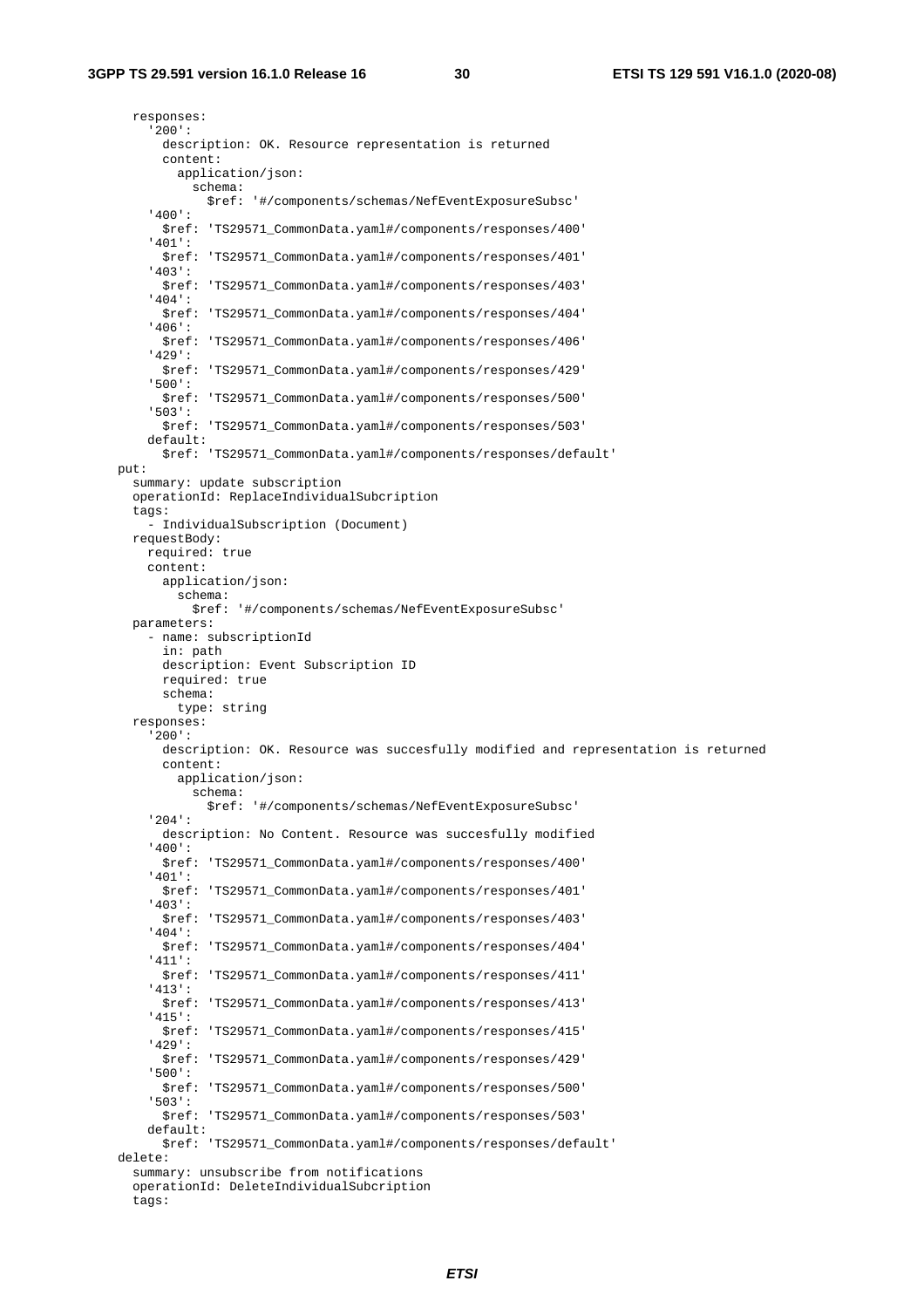responses: '200': description: OK. Resource representation is returned content: application/json: schema: \$ref: '#/components/schemas/NefEventExposureSubsc' '400': \$ref: 'TS29571\_CommonData.yaml#/components/responses/400' '401': \$ref: 'TS29571\_CommonData.yaml#/components/responses/401' '403': \$ref: 'TS29571\_CommonData.yaml#/components/responses/403' '404': \$ref: 'TS29571\_CommonData.yaml#/components/responses/404' '406': \$ref: 'TS29571\_CommonData.yaml#/components/responses/406' '429': \$ref: 'TS29571\_CommonData.yaml#/components/responses/429' '500': \$ref: 'TS29571\_CommonData.yaml#/components/responses/500' '503': \$ref: 'TS29571\_CommonData.yaml#/components/responses/503' default: \$ref: 'TS29571\_CommonData.yaml#/components/responses/default' put: summary: update subscription operationId: ReplaceIndividualSubcription tags: - IndividualSubscription (Document) requestBody: required: true content: application/json: schema: \$ref: '#/components/schemas/NefEventExposureSubsc' parameters: - name: subscriptionId in: path description: Event Subscription ID required: true schema: type: string responses: '200': description: OK. Resource was succesfully modified and representation is returned content: application/json: schema: \$ref: '#/components/schemas/NefEventExposureSubsc' '204': description: No Content. Resource was succesfully modified '400': \$ref: 'TS29571\_CommonData.yaml#/components/responses/400' '401': \$ref: 'TS29571\_CommonData.yaml#/components/responses/401' '403': \$ref: 'TS29571\_CommonData.yaml#/components/responses/403' '404': \$ref: 'TS29571\_CommonData.yaml#/components/responses/404' '411': \$ref: 'TS29571\_CommonData.yaml#/components/responses/411' '413': \$ref: 'TS29571\_CommonData.yaml#/components/responses/413' '415': \$ref: 'TS29571\_CommonData.yaml#/components/responses/415' '429': \$ref: 'TS29571\_CommonData.yaml#/components/responses/429' '500': \$ref: 'TS29571\_CommonData.yaml#/components/responses/500' '503': \$ref: 'TS29571\_CommonData.yaml#/components/responses/503' default: \$ref: 'TS29571\_CommonData.yaml#/components/responses/default' delete: summary: unsubscribe from notifications operationId: DeleteIndividualSubcription

tags: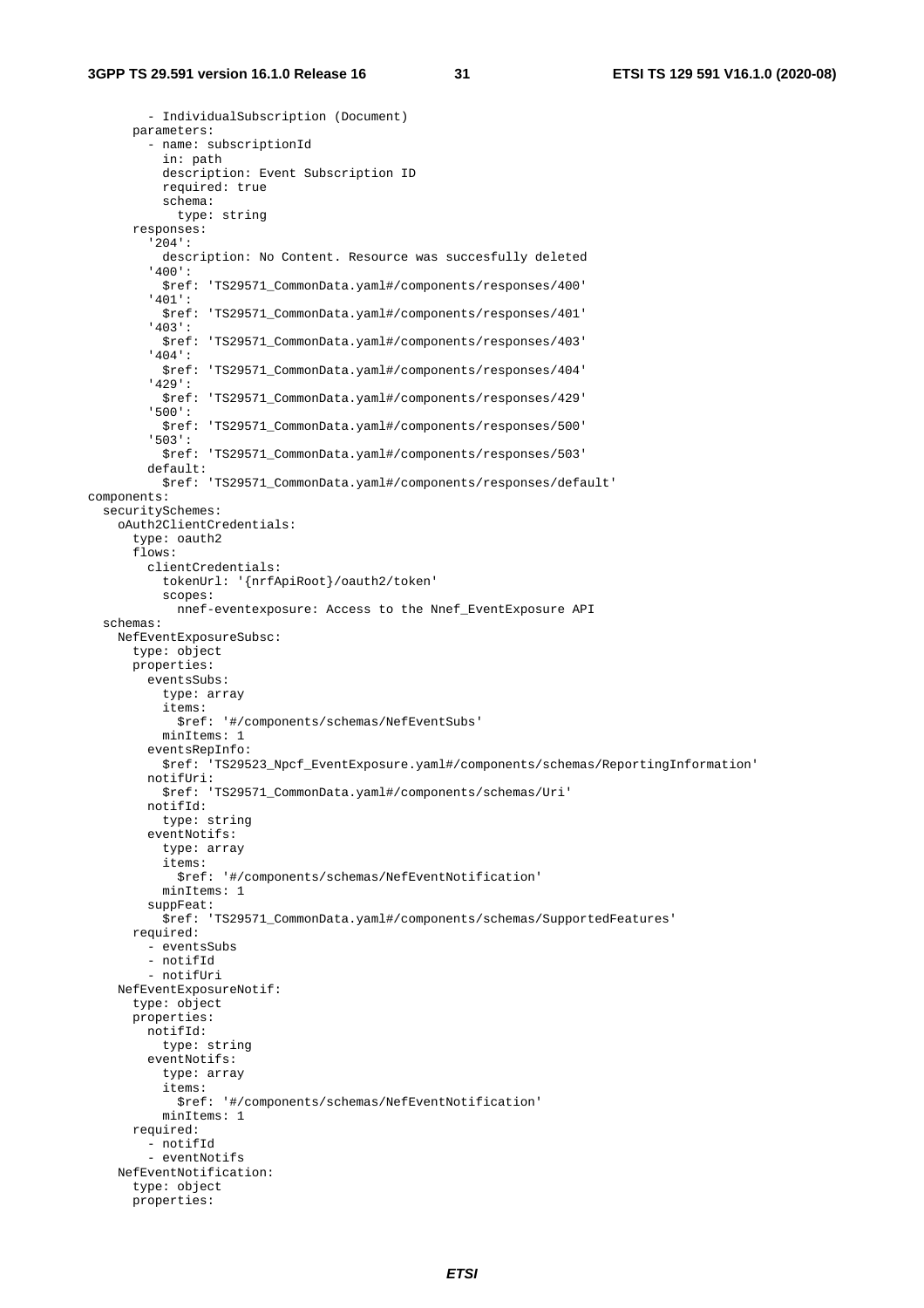#### **3GPP TS 29.591 version 16.1.0 Release 16 31 ETSI TS 129 591 V16.1.0 (2020-08)**

 - IndividualSubscription (Document) parameters: - name: subscriptionId in: path description: Event Subscription ID required: true schema: type: string responses: '204': description: No Content. Resource was succesfully deleted '400': \$ref: 'TS29571\_CommonData.yaml#/components/responses/400' '401': \$ref: 'TS29571\_CommonData.yaml#/components/responses/401' '403': \$ref: 'TS29571\_CommonData.yaml#/components/responses/403' '404': \$ref: 'TS29571\_CommonData.yaml#/components/responses/404' '429': \$ref: 'TS29571\_CommonData.yaml#/components/responses/429' '500': \$ref: 'TS29571\_CommonData.yaml#/components/responses/500' '503': \$ref: 'TS29571\_CommonData.yaml#/components/responses/503' default: \$ref: 'TS29571\_CommonData.yaml#/components/responses/default' components: securitySchemes: oAuth2ClientCredentials: type: oauth2 flows: clientCredentials: tokenUrl: '{nrfApiRoot}/oauth2/token' scopes: nnef-eventexposure: Access to the Nnef\_EventExposure API schemas: NefEventExposureSubsc: type: object properties: eventsSubs: type: array items: \$ref: '#/components/schemas/NefEventSubs' minItems: 1 eventsRepInfo: \$ref: 'TS29523\_Npcf\_EventExposure.yaml#/components/schemas/ReportingInformation' notifUri: \$ref: 'TS29571\_CommonData.yaml#/components/schemas/Uri' notifId: type: string eventNotifs: type: array items: \$ref: '#/components/schemas/NefEventNotification' minItems: 1 suppFeat: \$ref: 'TS29571\_CommonData.yaml#/components/schemas/SupportedFeatures' required: - eventsSubs - notifId - notifUri NefEventExposureNotif: type: object properties: notifId: type: string eventNotifs: type: array items: \$ref: '#/components/schemas/NefEventNotification' minItems: 1 required: - notifId - eventNotifs NefEventNotification: type: object properties: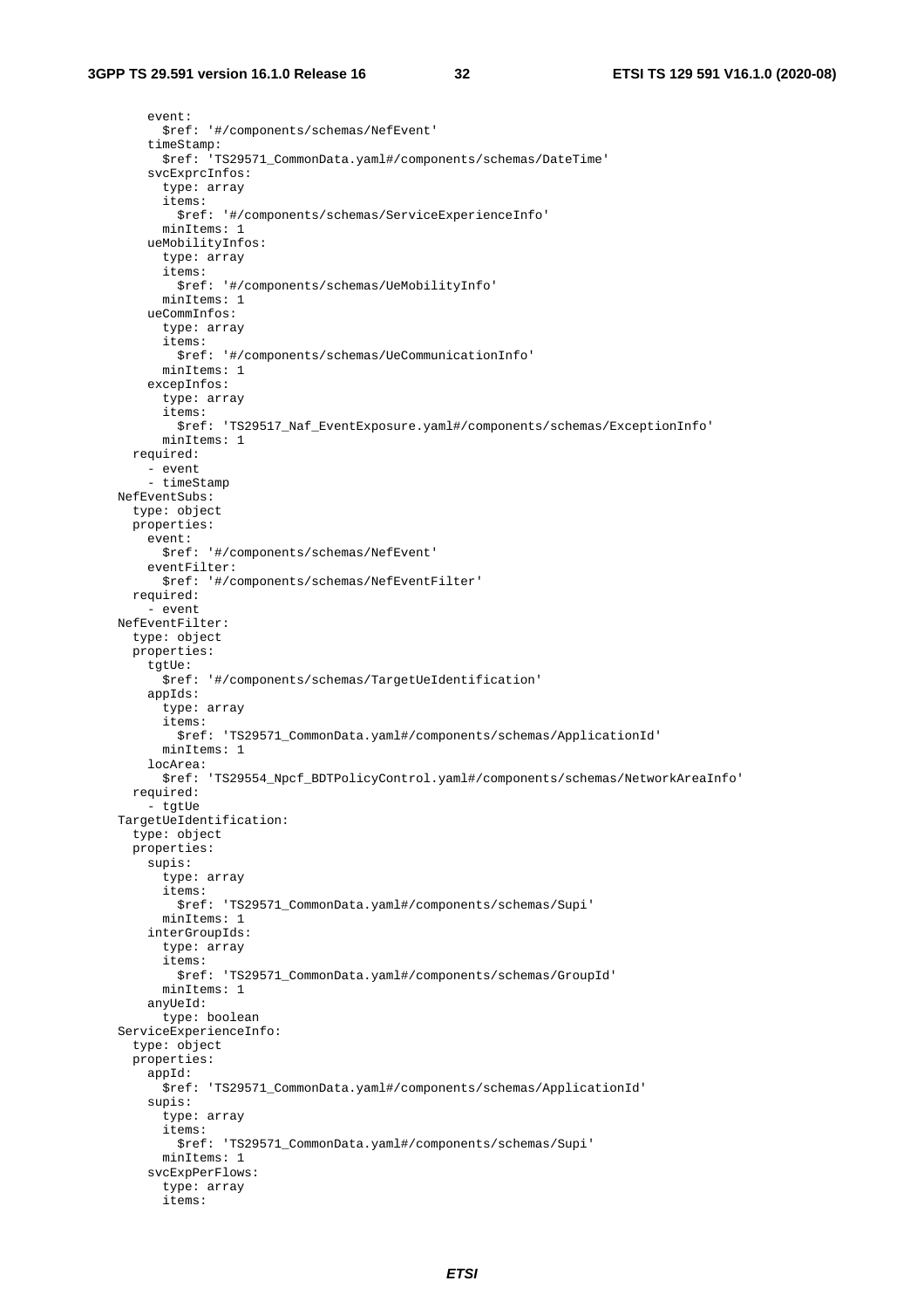event: \$ref: '#/components/schemas/NefEvent' timeStamp: \$ref: 'TS29571\_CommonData.yaml#/components/schemas/DateTime' svcExprcInfos: type: array items: \$ref: '#/components/schemas/ServiceExperienceInfo' minItems: 1 ueMobilityInfos: type: array items: \$ref: '#/components/schemas/UeMobilityInfo' minItems: 1 ueCommInfos: type: array items: \$ref: '#/components/schemas/UeCommunicationInfo' minItems: 1 excepInfos: type: array items: \$ref: 'TS29517\_Naf\_EventExposure.yaml#/components/schemas/ExceptionInfo' minItems: 1 required: - event - timeStamp NefEventSubs: type: object properties: event: \$ref: '#/components/schemas/NefEvent' eventFilter: \$ref: '#/components/schemas/NefEventFilter' required: - event NefEventFilter: type: object properties: tgtUe: \$ref: '#/components/schemas/TargetUeIdentification' appIds: type: array items: \$ref: 'TS29571\_CommonData.yaml#/components/schemas/ApplicationId' minItems: 1 locArea: \$ref: 'TS29554\_Npcf\_BDTPolicyControl.yaml#/components/schemas/NetworkAreaInfo' required: - tgtUe TargetUeIdentification: type: object properties: supis: type: array items: \$ref: 'TS29571\_CommonData.yaml#/components/schemas/Supi' minItems: 1 interGroupIds: type: array items: \$ref: 'TS29571\_CommonData.yaml#/components/schemas/GroupId' minItems: 1 anyUeId: type: boolean ServiceExperienceInfo: type: object properties: appId: \$ref: 'TS29571\_CommonData.yaml#/components/schemas/ApplicationId' supis: type: array items: \$ref: 'TS29571\_CommonData.yaml#/components/schemas/Supi' minItems: 1 svcExpPerFlows: type: array items: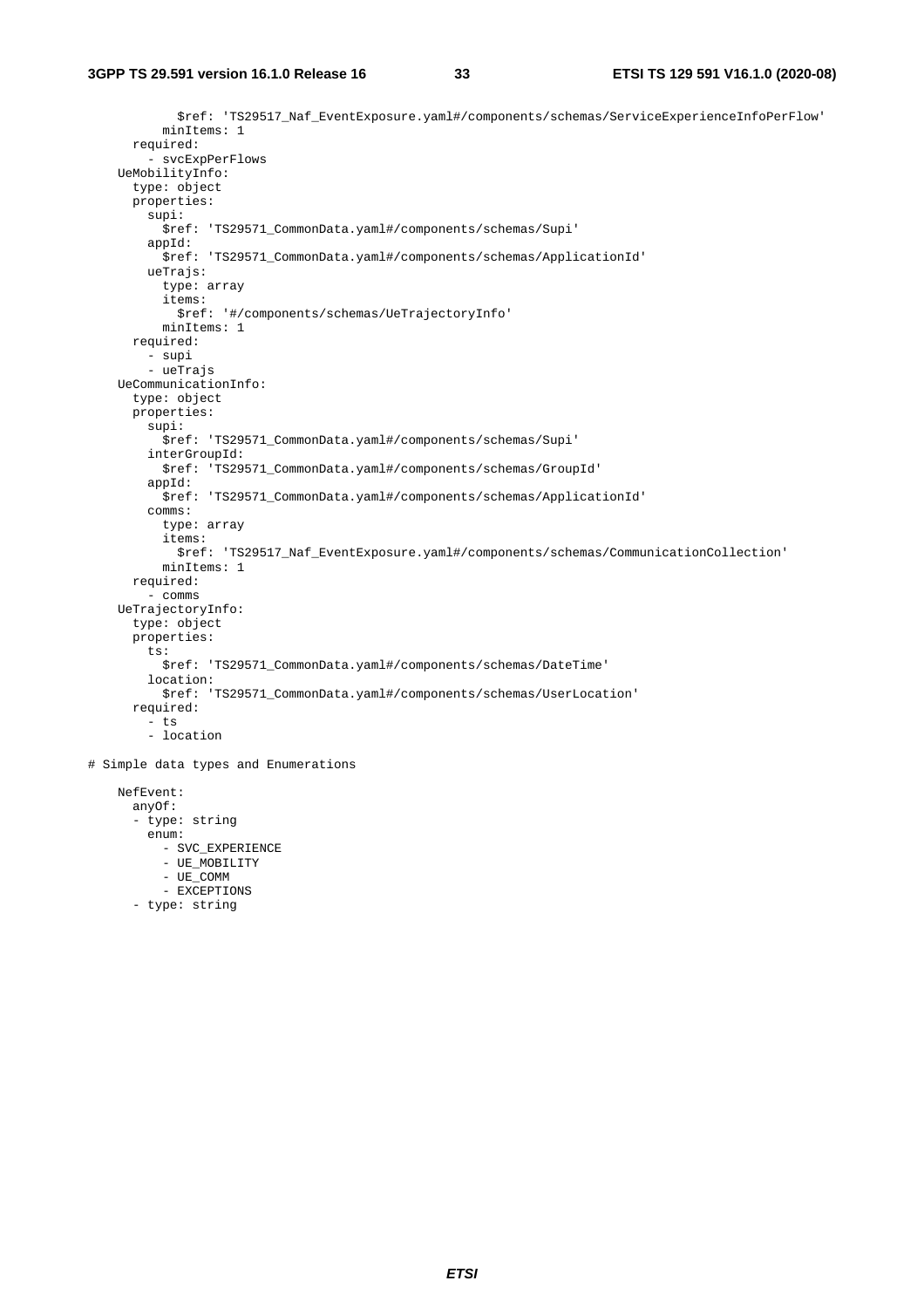\$ref: 'TS29517\_Naf\_EventExposure.yaml#/components/schemas/ServiceExperienceInfoPerFlow' minItems: 1 required: - svcExpPerFlows UeMobilityInfo: type: object properties: supi: \$ref: 'TS29571\_CommonData.yaml#/components/schemas/Supi' appId: \$ref: 'TS29571\_CommonData.yaml#/components/schemas/ApplicationId' ueTrajs: type: array items: \$ref: '#/components/schemas/UeTrajectoryInfo' minItems: 1 required: - supi - ueTrajs UeCommunicationInfo: type: object properties: supi: \$ref: 'TS29571\_CommonData.yaml#/components/schemas/Supi' interGroupId: \$ref: 'TS29571\_CommonData.yaml#/components/schemas/GroupId' appId: \$ref: 'TS29571\_CommonData.yaml#/components/schemas/ApplicationId' comms: type: array items: \$ref: 'TS29517\_Naf\_EventExposure.yaml#/components/schemas/CommunicationCollection' minItems: 1 required: - comms UeTrajectoryInfo: type: object properties: ts: \$ref: 'TS29571\_CommonData.yaml#/components/schemas/DateTime' location: \$ref: 'TS29571\_CommonData.yaml#/components/schemas/UserLocation' required:  $-$  ts - location # Simple data types and Enumerations NefEvent: anyOf: - type: string

```
 enum: 
   - SVC_EXPERIENCE 
   - UE_MOBILITY 
   - UE_COMM 
  - EXCEPTIONS
```
- type: string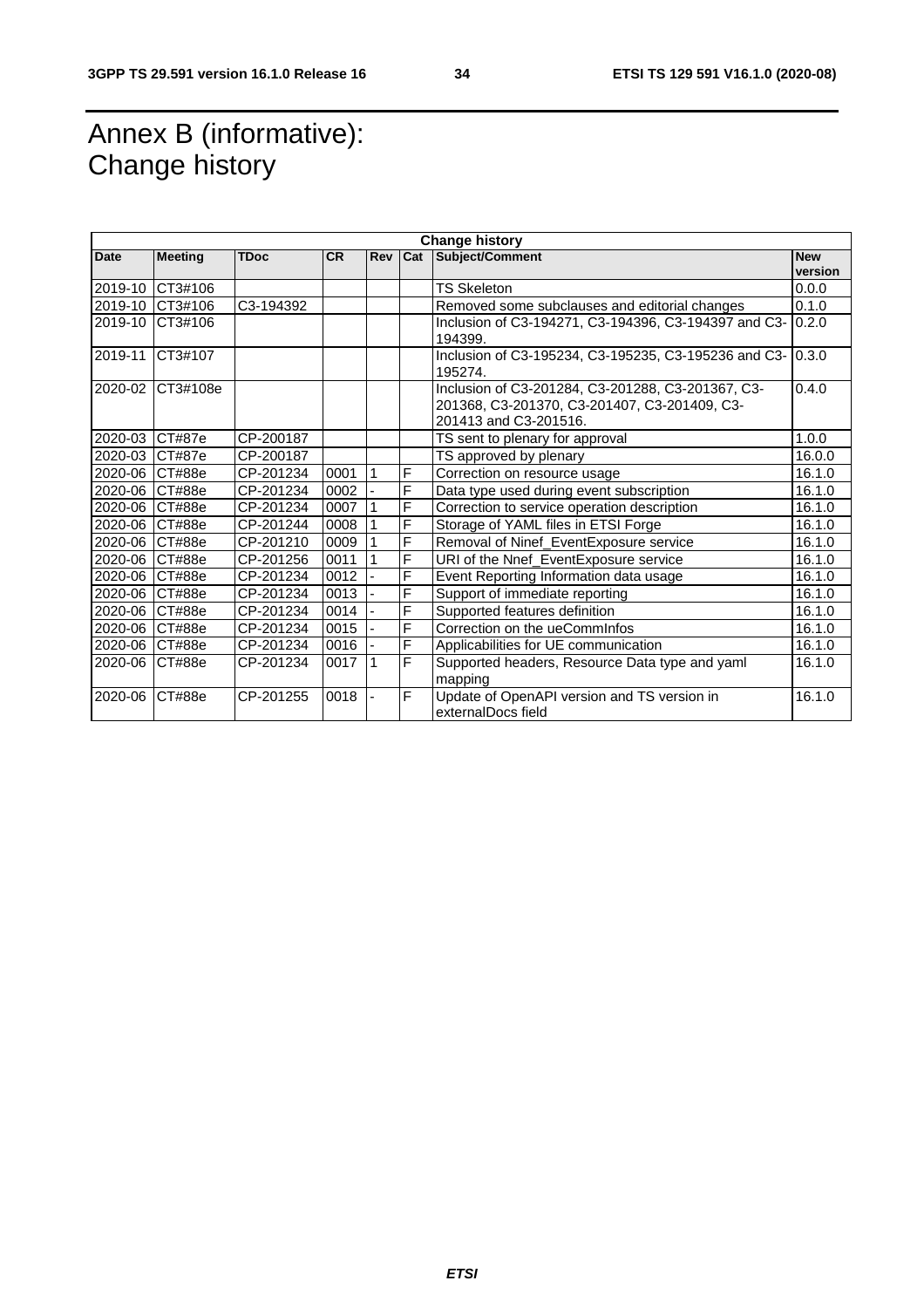# Annex B (informative): Change history

| <b>Change history</b> |                |             |      |              |     |                                                                                                                            |                       |
|-----------------------|----------------|-------------|------|--------------|-----|----------------------------------------------------------------------------------------------------------------------------|-----------------------|
| Date                  | <b>Meeting</b> | <b>TDoc</b> | CR.  | <b>Rev</b>   | Cat | Subject/Comment                                                                                                            | <b>New</b><br>version |
| 2019-10               | CT3#106        |             |      |              |     | <b>TS Skeleton</b>                                                                                                         | 0.0.0                 |
| 2019-10               | CT3#106        | C3-194392   |      |              |     | Removed some subclauses and editorial changes                                                                              | 0.1.0                 |
| 2019-10               | CT3#106        |             |      |              |     | Inclusion of C3-194271, C3-194396, C3-194397 and C3-<br>194399.                                                            | 0.2.0                 |
| 2019-11               | CT3#107        |             |      |              |     | Inclusion of C3-195234, C3-195235, C3-195236 and C3-<br>195274.                                                            | 0.3.0                 |
| 2020-02               | CT3#108e       |             |      |              |     | Inclusion of C3-201284, C3-201288, C3-201367, C3-<br>201368, C3-201370, C3-201407, C3-201409, C3-<br>201413 and C3-201516. | 0.4.0                 |
| 2020-03               | CT#87e         | CP-200187   |      |              |     | TS sent to plenary for approval                                                                                            | 1.0.0                 |
| 2020-03               | <b>CT#87e</b>  | CP-200187   |      |              |     | TS approved by plenary                                                                                                     | 16.0.0                |
| 2020-06               | CT#88e         | CP-201234   | 0001 | $\mathbf{1}$ | F   | Correction on resource usage                                                                                               | 16.1.0                |
| 2020-06               | CT#88e         | CP-201234   | 0002 |              | F   | Data type used during event subscription                                                                                   | 16.1.0                |
| 2020-06               | CT#88e         | CP-201234   | 0007 |              | F   | Correction to service operation description                                                                                | 16.1.0                |
| 2020-06               | CT#88e         | CP-201244   | 0008 |              | F   | Storage of YAML files in ETSI Forge                                                                                        | 16.1.0                |
| 2020-06               | CT#88e         | CP-201210   | 0009 |              | F   | Removal of Ninef_EventExposure service                                                                                     | 16.1.0                |
| 2020-06               | CT#88e         | CP-201256   | 0011 |              | F   | URI of the Nnef_EventExposure service                                                                                      | 16.1.0                |
| 2020-06               | CT#88e         | CP-201234   | 0012 |              | F   | Event Reporting Information data usage                                                                                     | 16.1.0                |
| 2020-06               | CT#88e         | CP-201234   | 0013 |              | F   | Support of immediate reporting                                                                                             | 16.1.0                |
| 2020-06               | CT#88e         | CP-201234   | 0014 |              | F   | Supported features definition                                                                                              | 16.1.0                |
| 2020-06               | CT#88e         | CP-201234   | 0015 |              | F   | Correction on the ueCommInfos                                                                                              | 16.1.0                |
| 2020-06               | <b>CT#88e</b>  | CP-201234   | 0016 |              | F   | Applicabilities for UE communication                                                                                       | 16.1.0                |
| 2020-06               | CT#88e         | CP-201234   | 0017 | $\vert$ 1    | F   | Supported headers, Resource Data type and yaml<br>mapping                                                                  | 16.1.0                |
| 2020-06               | CT#88e         | CP-201255   | 0018 |              | F   | Update of OpenAPI version and TS version in<br>externalDocs field                                                          | 16.1.0                |